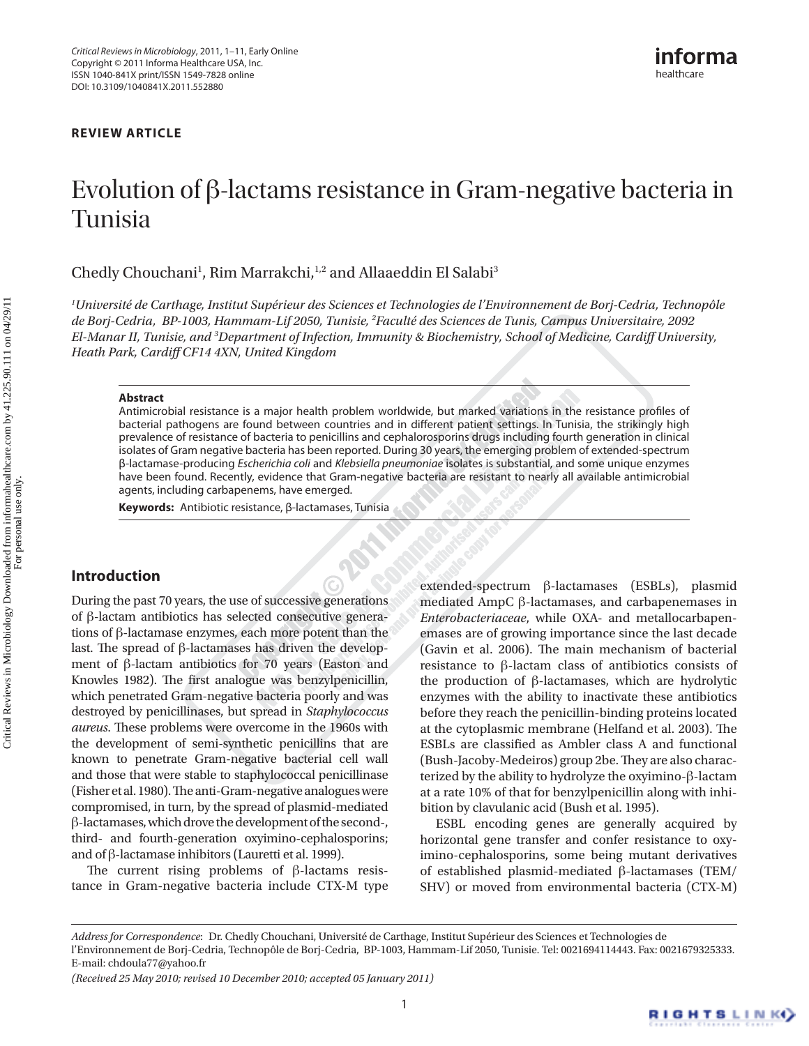#### **Review Article**

# Evolution of β-lactams resistance in Gram-negative bacteria in Tunisia

Chedly Chouchani<sup>1</sup>, Rim Marrakchi,<sup>1,2</sup> and Allaaeddin El Salabi<sup>3</sup>

*1 Université de Carthage, Institut Supérieur des Sciences et Technologies de l'Environnement de Borj-Cedria, Technopôle de Borj-Cedria, BP-1003, Hammam-Lif 2050, Tunisie, 2 Faculté des Sciences de Tunis, Campus Universitaire, 2092 El-Manar II, Tunisie, and 3 Department of Infection, Immunity & Biochemistry, School of Medicine, Cardiff University, Heath Park, Cardiff CF14 4XN, United Kingdom* 

#### **Abstract**

Antimicrobial resistance is a major health problem worldwide, but marked variations in the resistance profiles of bacterial pathogens are found between countries and in different patient settings. In Tunisia, the strikingly high prevalence of resistance of bacteria to penicillins and cephalorosporins drugs including fourth generation in clinical isolates of Gram negative bacteria has been reported. During 30 years, the emerging problem of extended-spectrum β-lactamase-producing *Escherichia coli* and *Klebsiella pneumoniae* isolates is substantial, and some unique enzymes have been found. Recently, evidence that Gram-negative bacteria are resistant to nearly all available antimicrobial agents, including carbapenems, have emerged.

**Keywords:** Antibiotic resistance, β-lactamases, Tunisia

#### **Introduction**

During the past 70 years, the use of successive generations of β-lactam antibiotics has selected consecutive generations of β-lactamase enzymes, each more potent than the last. The spread of β-lactamases has driven the development of β-lactam antibiotics for 70 years ([Easton and](#page-9-0)  [Knowles 1982](#page-9-0)). The first analogue was benzylpenicillin, which penetrated Gram-negative bacteria poorly and was destroyed by penicillinases, but spread in *Staphylococcus aureus*. These problems were overcome in the 1960s with the development of semi-synthetic penicillins that are known to penetrate Gram-negative bacterial cell wall and those that were stable to staphylococcal penicillinase [\(Fisher etal. 1980\)](#page-9-1). The anti-Gram-negative analogues were compromised, in turn, by the spread of plasmid-mediated β-lactamases, which drove the development of the second-, third- and fourth-generation oxyimino-cephalosporins; and of β-lactamase inhibitors [\(Lauretti et](#page-9-2) al. 1999).

The current rising problems of β-lactams resistance in Gram-negative bacteria include CTX-M type extended-spectrum β-lactamases (ESBLs), plasmid mediated AmpC β-lactamases, and carbapenemases in *Enterobacteriaceae*, while OXA- and metallocarbapenemases are of growing importance since the last decade ([Gavin et](#page-9-3) al. 2006). The main mechanism of bacterial resistance to β-lactam class of antibiotics consists of the production of β-lactamases, which are hydrolytic enzymes with the ability to inactivate these antibiotics before they reach the penicillin-binding proteins located at the cytoplasmic membrane ([Helfand et](#page-9-4) al. 2003). The ESBLs are classified as Ambler class A and functional (Bush-Jacoby-Medeiros) group 2be. They are also characterized by the ability to hydrolyze the oxyimino-β-lactam at a rate 10% of that for benzylpenicillin along with inhibition by clavulanic acid (Bush et [al. 1995](#page-8-0)).

ESBL encoding genes are generally acquired by horizontal gene transfer and confer resistance to oxyimino-cephalosporins, some being mutant derivatives of established plasmid-mediated β-lactamases (TEM/ SHV) or moved from environmental bacteria (CTX-M)

For personal use only.

*Address for Correspondence*: Dr. Chedly Chouchani, Université de Carthage, Institut Supérieur des Sciences et Technologies de l'Environnement de Borj-Cedria, Technopôle de Borj-Cedria, BP-1003, Hammam-Lif 2050, Tunisie. Tel: 0021694114443. Fax: 0021679325333. E-mail: chdoula77@yahoo.fr

*<sup>(</sup>Received 25 May 2010; revised 10 December 2010; accepted 05 January 2011)*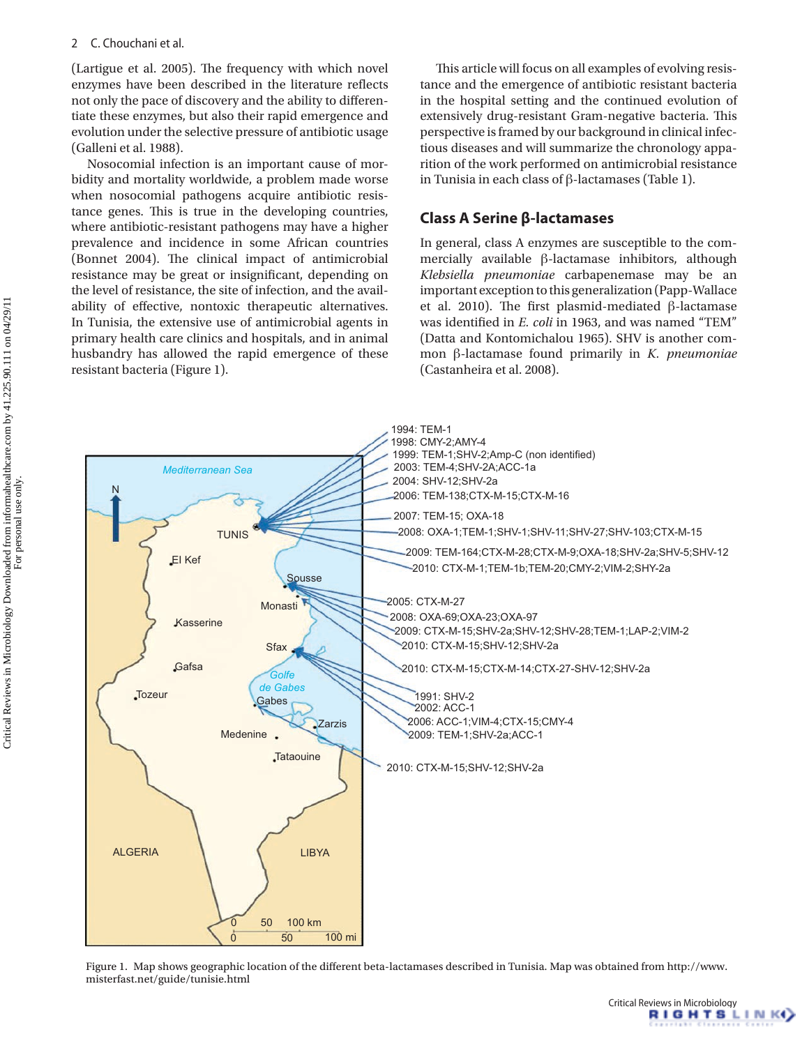#### 2 C. Chouchani et al.

([Lartigue et](#page-9-5) al. 2005). The frequency with which novel enzymes have been described in the literature reflects not only the pace of discovery and the ability to differentiate these enzymes, but also their rapid emergence and evolution under the selective pressure of antibiotic usage ([Galleni et](#page-9-6) al. 1988).

Nosocomial infection is an important cause of morbidity and mortality worldwide, a problem made worse when nosocomial pathogens acquire antibiotic resistance genes. This is true in the developing countries, where antibiotic-resistant pathogens may have a higher prevalence and incidence in some African countries ([Bonnet 2004\)](#page-8-1). The clinical impact of antimicrobial resistance may be great or insignificant, depending on the level of resistance, the site of infection, and the availability of effective, nontoxic therapeutic alternatives. In Tunisia, the extensive use of antimicrobial agents in primary health care clinics and hospitals, and in animal husbandry has allowed the rapid emergence of these resistant bacteria ([Figure 1\)](#page-1-0).

This article will focus on all examples of evolving resistance and the emergence of antibiotic resistant bacteria in the hospital setting and the continued evolution of extensively drug-resistant Gram-negative bacteria. This perspective is framed by our background in clinical infectious diseases and will summarize the chronology apparition of the work performed on antimicrobial resistance in Tunisia in each class of β-lactamases (Table 1).

# **Class A Serine β-lactamases**

In general, class A enzymes are susceptible to the commercially available β-lactamase inhibitors, although *Klebsiella pneumoniae* carbapenemase may be an important exception to this generalization ([Papp-Wallace](#page-10-0) et [al. 2010\)](#page-10-0). The first plasmid-mediated β-lactamase was identified in *E. coli* in 1963, and was named "TEM" ([Datta and Kontomichalou 1965](#page-9-7)). SHV is another common β-lactamase found primarily in *K. pneumoniae* ([Castanheira et](#page-9-8) al. 2008).



<span id="page-1-0"></span>Figure 1. Map shows geographic location of the different beta-lactamases described in Tunisia. Map was obtained from [http://www.](http://www.misterfast.net/guide/tunisie.html) [misterfast.net/guide/tunisie.html](http://www.misterfast.net/guide/tunisie.html)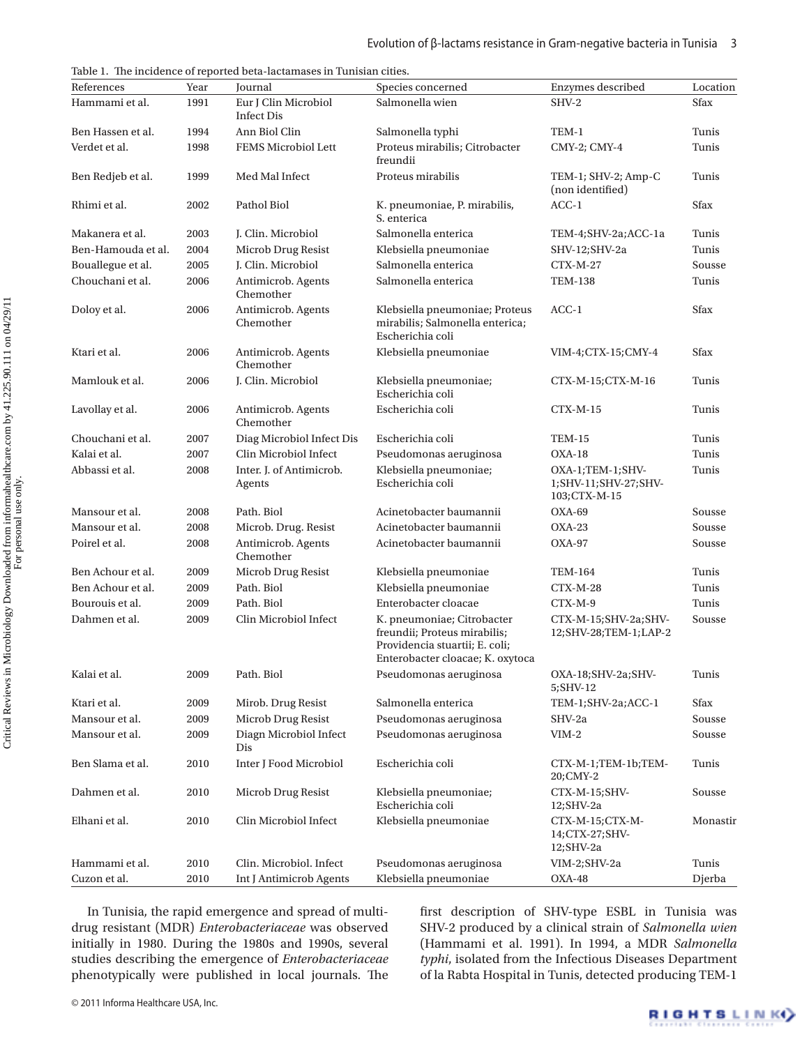| Eur J Clin Microbiol<br>Hammami et al.<br>Salmonella wien<br>1991<br>SHV-2<br><b>Sfax</b><br><b>Infect Dis</b><br>1994<br>Ann Biol Clin<br>TEM-1<br>Ben Hassen et al.<br>Salmonella typhi<br>Tunis<br>Verdet et al.<br><b>FEMS Microbiol Lett</b><br>Proteus mirabilis; Citrobacter<br>CMY-2; CMY-4<br>Tunis<br>1998<br>freundii<br>Proteus mirabilis<br>Ben Redjeb et al.<br>Med Mal Infect<br>TEM-1; SHV-2; Amp-C<br>1999<br>Tunis<br>(non identified)<br>$ACC-1$<br>Rhimi et al.<br><b>Pathol Biol</b><br><b>Sfax</b><br>2002<br>K. pneumoniae, P. mirabilis,<br>S. enterica<br>Salmonella enterica<br>Makanera et al.<br>2003<br>J. Clin. Microbiol<br>Tunis<br>TEM-4;SHV-2a;ACC-1a<br>Ben-Hamouda et al.<br>2004<br>Microb Drug Resist<br>Klebsiella pneumoniae<br>SHV-12;SHV-2a<br>Tunis<br>Bouallegue et al.<br>Salmonella enterica<br>2005<br>J. Clin. Microbiol<br><b>CTX-M-27</b><br>Sousse<br>Chouchani et al.<br>Salmonella enterica<br>2006<br>Antimicrob. Agents<br><b>TEM-138</b><br>Tunis<br>Chemother<br>Antimicrob. Agents<br>Klebsiella pneumoniae; Proteus<br>$ACC-1$<br><b>Sfax</b><br>Doloy et al.<br>2006<br>Chemother<br>mirabilis; Salmonella enterica;<br>Escherichia coli<br>Ktari et al.<br>Klebsiella pneumoniae<br><b>Sfax</b><br>2006<br>Antimicrob. Agents<br>VIM-4; CTX-15; CMY-4<br>Chemother<br>Mamlouk et al.<br>2006<br>J. Clin. Microbiol<br>Klebsiella pneumoniae;<br>Tunis<br>CTX-M-15;CTX-M-16<br>Escherichia coli<br>Lavollay et al.<br>Escherichia coli<br>$CTX-M-15$<br>Tunis<br>2006<br>Antimicrob. Agents<br>Chemother<br>Chouchani et al.<br>Diag Microbiol Infect Dis<br>Escherichia coli<br>Tunis<br>2007<br><b>TEM-15</b><br>Kalai et al.<br>Clin Microbiol Infect<br>2007<br>$OXA-18$<br>Tunis<br>Pseudomonas aeruginosa<br>Klebsiella pneumoniae;<br>Abbassi et al.<br>2008<br>Inter. J. of Antimicrob.<br>OXA-1;TEM-1;SHV-<br>Tunis<br>Escherichia coli<br>1;SHV-11;SHV-27;SHV-<br>Agents<br>103; CTX-M-15<br>Mansour et al.<br>Acinetobacter baumannii<br>OXA-69<br>2008<br>Path. Biol<br>Sousse<br>Mansour et al.<br>Microb. Drug. Resist<br>Acinetobacter baumannii<br>$OXA-23$<br>2008<br>Sousse<br>Poirel et al.<br>2008<br>Antimicrob. Agents<br>Acinetobacter baumannii<br><b>OXA-97</b><br>Sousse<br>Chemother<br>Ben Achour et al.<br>2009<br>Microb Drug Resist<br>Klebsiella pneumoniae<br><b>TEM-164</b><br>Tunis<br>Klebsiella pneumoniae<br>Ben Achour et al.<br>Tunis<br>2009<br>Path. Biol<br>CTX-M-28<br>Enterobacter cloacae<br>Bourouis et al.<br>Path. Biol<br>Tunis<br>2009<br>CTX-M-9<br>2009<br>Clin Microbiol Infect<br>K. pneumoniae; Citrobacter<br>CTX-M-15;SHV-2a;SHV-<br>Dahmen et al.<br>Sousse<br>freundii; Proteus mirabilis;<br>12;SHV-28;TEM-1;LAP-2<br>Providencia stuartii; E. coli;<br>Enterobacter cloacae; K. oxytoca<br>Kalai et al.<br>2009<br>Path. Biol<br>Pseudomonas aeruginosa<br>OXA-18;SHV-2a;SHV-<br>Tunis<br>5; SHV-12<br>Ktari et al.<br>Salmonella enterica<br>Sfax<br>2009<br>Mirob. Drug Resist<br>TEM-1;SHV-2a;ACC-1<br>2009<br>Microb Drug Resist<br>Pseudomonas aeruginosa<br>Mansour et al.<br>SHV-2a<br>Sousse<br>Diagn Microbiol Infect<br>Pseudomonas aeruginosa<br>$VIM-2$<br>Mansour et al.<br>2009<br>Sousse<br>Dis<br>Ben Slama et al.<br>2010<br><b>Inter J Food Microbiol</b><br>Escherichia coli<br>CTX-M-1;TEM-1b;TEM-<br>Tunis<br>20;CMY-2<br>Dahmen et al.<br>Microb Drug Resist<br>Klebsiella pneumoniae;<br>2010<br>CTX-M-15;SHV-<br>Sousse<br>Escherichia coli<br>$12;$ SHV-2a<br>Clin Microbiol Infect<br>Klebsiella pneumoniae<br>Elhani et al.<br>2010<br>CTX-M-15;CTX-M-<br>14; CTX-27; SHV-<br>$12;$ SHV-2a<br>Clin. Microbiol. Infect<br>Tunis<br>Hammami et al.<br>2010<br>Pseudomonas aeruginosa<br>VIM-2;SHV-2a<br>Klebsiella pneumoniae<br>OXA-48<br>Cuzon et al.<br>2010<br>Int J Antimicrob Agents<br>Djerba | References | Year | Table 1. The incidence of reported beta-lactamases in Tunisian cities.<br>Journal | Species concerned | Enzymes described | Location |
|---------------------------------------------------------------------------------------------------------------------------------------------------------------------------------------------------------------------------------------------------------------------------------------------------------------------------------------------------------------------------------------------------------------------------------------------------------------------------------------------------------------------------------------------------------------------------------------------------------------------------------------------------------------------------------------------------------------------------------------------------------------------------------------------------------------------------------------------------------------------------------------------------------------------------------------------------------------------------------------------------------------------------------------------------------------------------------------------------------------------------------------------------------------------------------------------------------------------------------------------------------------------------------------------------------------------------------------------------------------------------------------------------------------------------------------------------------------------------------------------------------------------------------------------------------------------------------------------------------------------------------------------------------------------------------------------------------------------------------------------------------------------------------------------------------------------------------------------------------------------------------------------------------------------------------------------------------------------------------------------------------------------------------------------------------------------------------------------------------------------------------------------------------------------------------------------------------------------------------------------------------------------------------------------------------------------------------------------------------------------------------------------------------------------------------------------------------------------------------------------------------------------------------------------------------------------------------------------------------------------------------------------------------------------------------------------------------------------------------------------------------------------------------------------------------------------------------------------------------------------------------------------------------------------------------------------------------------------------------------------------------------------------------------------------------------------------------------------------------------------------------------------------------------------------------------------------------------------------------------------------------------------------------------------------------------------------------------------------------------------------------------------------------------------------------------------------------------------------------------------------------------------------------------------------------------------------------------------------------------------------------------------------------------------------------------------------------------------------------------------------------------------------------------------------------------------------------------------------------|------------|------|-----------------------------------------------------------------------------------|-------------------|-------------------|----------|
|                                                                                                                                                                                                                                                                                                                                                                                                                                                                                                                                                                                                                                                                                                                                                                                                                                                                                                                                                                                                                                                                                                                                                                                                                                                                                                                                                                                                                                                                                                                                                                                                                                                                                                                                                                                                                                                                                                                                                                                                                                                                                                                                                                                                                                                                                                                                                                                                                                                                                                                                                                                                                                                                                                                                                                                                                                                                                                                                                                                                                                                                                                                                                                                                                                                                                                                                                                                                                                                                                                                                                                                                                                                                                                                                                                                                                                                         |            |      |                                                                                   |                   |                   |          |
|                                                                                                                                                                                                                                                                                                                                                                                                                                                                                                                                                                                                                                                                                                                                                                                                                                                                                                                                                                                                                                                                                                                                                                                                                                                                                                                                                                                                                                                                                                                                                                                                                                                                                                                                                                                                                                                                                                                                                                                                                                                                                                                                                                                                                                                                                                                                                                                                                                                                                                                                                                                                                                                                                                                                                                                                                                                                                                                                                                                                                                                                                                                                                                                                                                                                                                                                                                                                                                                                                                                                                                                                                                                                                                                                                                                                                                                         |            |      |                                                                                   |                   |                   |          |
|                                                                                                                                                                                                                                                                                                                                                                                                                                                                                                                                                                                                                                                                                                                                                                                                                                                                                                                                                                                                                                                                                                                                                                                                                                                                                                                                                                                                                                                                                                                                                                                                                                                                                                                                                                                                                                                                                                                                                                                                                                                                                                                                                                                                                                                                                                                                                                                                                                                                                                                                                                                                                                                                                                                                                                                                                                                                                                                                                                                                                                                                                                                                                                                                                                                                                                                                                                                                                                                                                                                                                                                                                                                                                                                                                                                                                                                         |            |      |                                                                                   |                   |                   |          |
|                                                                                                                                                                                                                                                                                                                                                                                                                                                                                                                                                                                                                                                                                                                                                                                                                                                                                                                                                                                                                                                                                                                                                                                                                                                                                                                                                                                                                                                                                                                                                                                                                                                                                                                                                                                                                                                                                                                                                                                                                                                                                                                                                                                                                                                                                                                                                                                                                                                                                                                                                                                                                                                                                                                                                                                                                                                                                                                                                                                                                                                                                                                                                                                                                                                                                                                                                                                                                                                                                                                                                                                                                                                                                                                                                                                                                                                         |            |      |                                                                                   |                   |                   |          |
|                                                                                                                                                                                                                                                                                                                                                                                                                                                                                                                                                                                                                                                                                                                                                                                                                                                                                                                                                                                                                                                                                                                                                                                                                                                                                                                                                                                                                                                                                                                                                                                                                                                                                                                                                                                                                                                                                                                                                                                                                                                                                                                                                                                                                                                                                                                                                                                                                                                                                                                                                                                                                                                                                                                                                                                                                                                                                                                                                                                                                                                                                                                                                                                                                                                                                                                                                                                                                                                                                                                                                                                                                                                                                                                                                                                                                                                         |            |      |                                                                                   |                   |                   |          |
|                                                                                                                                                                                                                                                                                                                                                                                                                                                                                                                                                                                                                                                                                                                                                                                                                                                                                                                                                                                                                                                                                                                                                                                                                                                                                                                                                                                                                                                                                                                                                                                                                                                                                                                                                                                                                                                                                                                                                                                                                                                                                                                                                                                                                                                                                                                                                                                                                                                                                                                                                                                                                                                                                                                                                                                                                                                                                                                                                                                                                                                                                                                                                                                                                                                                                                                                                                                                                                                                                                                                                                                                                                                                                                                                                                                                                                                         |            |      |                                                                                   |                   |                   |          |
|                                                                                                                                                                                                                                                                                                                                                                                                                                                                                                                                                                                                                                                                                                                                                                                                                                                                                                                                                                                                                                                                                                                                                                                                                                                                                                                                                                                                                                                                                                                                                                                                                                                                                                                                                                                                                                                                                                                                                                                                                                                                                                                                                                                                                                                                                                                                                                                                                                                                                                                                                                                                                                                                                                                                                                                                                                                                                                                                                                                                                                                                                                                                                                                                                                                                                                                                                                                                                                                                                                                                                                                                                                                                                                                                                                                                                                                         |            |      |                                                                                   |                   |                   |          |
|                                                                                                                                                                                                                                                                                                                                                                                                                                                                                                                                                                                                                                                                                                                                                                                                                                                                                                                                                                                                                                                                                                                                                                                                                                                                                                                                                                                                                                                                                                                                                                                                                                                                                                                                                                                                                                                                                                                                                                                                                                                                                                                                                                                                                                                                                                                                                                                                                                                                                                                                                                                                                                                                                                                                                                                                                                                                                                                                                                                                                                                                                                                                                                                                                                                                                                                                                                                                                                                                                                                                                                                                                                                                                                                                                                                                                                                         |            |      |                                                                                   |                   |                   |          |
|                                                                                                                                                                                                                                                                                                                                                                                                                                                                                                                                                                                                                                                                                                                                                                                                                                                                                                                                                                                                                                                                                                                                                                                                                                                                                                                                                                                                                                                                                                                                                                                                                                                                                                                                                                                                                                                                                                                                                                                                                                                                                                                                                                                                                                                                                                                                                                                                                                                                                                                                                                                                                                                                                                                                                                                                                                                                                                                                                                                                                                                                                                                                                                                                                                                                                                                                                                                                                                                                                                                                                                                                                                                                                                                                                                                                                                                         |            |      |                                                                                   |                   |                   |          |
|                                                                                                                                                                                                                                                                                                                                                                                                                                                                                                                                                                                                                                                                                                                                                                                                                                                                                                                                                                                                                                                                                                                                                                                                                                                                                                                                                                                                                                                                                                                                                                                                                                                                                                                                                                                                                                                                                                                                                                                                                                                                                                                                                                                                                                                                                                                                                                                                                                                                                                                                                                                                                                                                                                                                                                                                                                                                                                                                                                                                                                                                                                                                                                                                                                                                                                                                                                                                                                                                                                                                                                                                                                                                                                                                                                                                                                                         |            |      |                                                                                   |                   |                   |          |
|                                                                                                                                                                                                                                                                                                                                                                                                                                                                                                                                                                                                                                                                                                                                                                                                                                                                                                                                                                                                                                                                                                                                                                                                                                                                                                                                                                                                                                                                                                                                                                                                                                                                                                                                                                                                                                                                                                                                                                                                                                                                                                                                                                                                                                                                                                                                                                                                                                                                                                                                                                                                                                                                                                                                                                                                                                                                                                                                                                                                                                                                                                                                                                                                                                                                                                                                                                                                                                                                                                                                                                                                                                                                                                                                                                                                                                                         |            |      |                                                                                   |                   |                   |          |
|                                                                                                                                                                                                                                                                                                                                                                                                                                                                                                                                                                                                                                                                                                                                                                                                                                                                                                                                                                                                                                                                                                                                                                                                                                                                                                                                                                                                                                                                                                                                                                                                                                                                                                                                                                                                                                                                                                                                                                                                                                                                                                                                                                                                                                                                                                                                                                                                                                                                                                                                                                                                                                                                                                                                                                                                                                                                                                                                                                                                                                                                                                                                                                                                                                                                                                                                                                                                                                                                                                                                                                                                                                                                                                                                                                                                                                                         |            |      |                                                                                   |                   |                   |          |
|                                                                                                                                                                                                                                                                                                                                                                                                                                                                                                                                                                                                                                                                                                                                                                                                                                                                                                                                                                                                                                                                                                                                                                                                                                                                                                                                                                                                                                                                                                                                                                                                                                                                                                                                                                                                                                                                                                                                                                                                                                                                                                                                                                                                                                                                                                                                                                                                                                                                                                                                                                                                                                                                                                                                                                                                                                                                                                                                                                                                                                                                                                                                                                                                                                                                                                                                                                                                                                                                                                                                                                                                                                                                                                                                                                                                                                                         |            |      |                                                                                   |                   |                   |          |
|                                                                                                                                                                                                                                                                                                                                                                                                                                                                                                                                                                                                                                                                                                                                                                                                                                                                                                                                                                                                                                                                                                                                                                                                                                                                                                                                                                                                                                                                                                                                                                                                                                                                                                                                                                                                                                                                                                                                                                                                                                                                                                                                                                                                                                                                                                                                                                                                                                                                                                                                                                                                                                                                                                                                                                                                                                                                                                                                                                                                                                                                                                                                                                                                                                                                                                                                                                                                                                                                                                                                                                                                                                                                                                                                                                                                                                                         |            |      |                                                                                   |                   |                   |          |
|                                                                                                                                                                                                                                                                                                                                                                                                                                                                                                                                                                                                                                                                                                                                                                                                                                                                                                                                                                                                                                                                                                                                                                                                                                                                                                                                                                                                                                                                                                                                                                                                                                                                                                                                                                                                                                                                                                                                                                                                                                                                                                                                                                                                                                                                                                                                                                                                                                                                                                                                                                                                                                                                                                                                                                                                                                                                                                                                                                                                                                                                                                                                                                                                                                                                                                                                                                                                                                                                                                                                                                                                                                                                                                                                                                                                                                                         |            |      |                                                                                   |                   |                   |          |
|                                                                                                                                                                                                                                                                                                                                                                                                                                                                                                                                                                                                                                                                                                                                                                                                                                                                                                                                                                                                                                                                                                                                                                                                                                                                                                                                                                                                                                                                                                                                                                                                                                                                                                                                                                                                                                                                                                                                                                                                                                                                                                                                                                                                                                                                                                                                                                                                                                                                                                                                                                                                                                                                                                                                                                                                                                                                                                                                                                                                                                                                                                                                                                                                                                                                                                                                                                                                                                                                                                                                                                                                                                                                                                                                                                                                                                                         |            |      |                                                                                   |                   |                   |          |
|                                                                                                                                                                                                                                                                                                                                                                                                                                                                                                                                                                                                                                                                                                                                                                                                                                                                                                                                                                                                                                                                                                                                                                                                                                                                                                                                                                                                                                                                                                                                                                                                                                                                                                                                                                                                                                                                                                                                                                                                                                                                                                                                                                                                                                                                                                                                                                                                                                                                                                                                                                                                                                                                                                                                                                                                                                                                                                                                                                                                                                                                                                                                                                                                                                                                                                                                                                                                                                                                                                                                                                                                                                                                                                                                                                                                                                                         |            |      |                                                                                   |                   |                   |          |
|                                                                                                                                                                                                                                                                                                                                                                                                                                                                                                                                                                                                                                                                                                                                                                                                                                                                                                                                                                                                                                                                                                                                                                                                                                                                                                                                                                                                                                                                                                                                                                                                                                                                                                                                                                                                                                                                                                                                                                                                                                                                                                                                                                                                                                                                                                                                                                                                                                                                                                                                                                                                                                                                                                                                                                                                                                                                                                                                                                                                                                                                                                                                                                                                                                                                                                                                                                                                                                                                                                                                                                                                                                                                                                                                                                                                                                                         |            |      |                                                                                   |                   |                   |          |
|                                                                                                                                                                                                                                                                                                                                                                                                                                                                                                                                                                                                                                                                                                                                                                                                                                                                                                                                                                                                                                                                                                                                                                                                                                                                                                                                                                                                                                                                                                                                                                                                                                                                                                                                                                                                                                                                                                                                                                                                                                                                                                                                                                                                                                                                                                                                                                                                                                                                                                                                                                                                                                                                                                                                                                                                                                                                                                                                                                                                                                                                                                                                                                                                                                                                                                                                                                                                                                                                                                                                                                                                                                                                                                                                                                                                                                                         |            |      |                                                                                   |                   |                   |          |
|                                                                                                                                                                                                                                                                                                                                                                                                                                                                                                                                                                                                                                                                                                                                                                                                                                                                                                                                                                                                                                                                                                                                                                                                                                                                                                                                                                                                                                                                                                                                                                                                                                                                                                                                                                                                                                                                                                                                                                                                                                                                                                                                                                                                                                                                                                                                                                                                                                                                                                                                                                                                                                                                                                                                                                                                                                                                                                                                                                                                                                                                                                                                                                                                                                                                                                                                                                                                                                                                                                                                                                                                                                                                                                                                                                                                                                                         |            |      |                                                                                   |                   |                   |          |
|                                                                                                                                                                                                                                                                                                                                                                                                                                                                                                                                                                                                                                                                                                                                                                                                                                                                                                                                                                                                                                                                                                                                                                                                                                                                                                                                                                                                                                                                                                                                                                                                                                                                                                                                                                                                                                                                                                                                                                                                                                                                                                                                                                                                                                                                                                                                                                                                                                                                                                                                                                                                                                                                                                                                                                                                                                                                                                                                                                                                                                                                                                                                                                                                                                                                                                                                                                                                                                                                                                                                                                                                                                                                                                                                                                                                                                                         |            |      |                                                                                   |                   |                   |          |
|                                                                                                                                                                                                                                                                                                                                                                                                                                                                                                                                                                                                                                                                                                                                                                                                                                                                                                                                                                                                                                                                                                                                                                                                                                                                                                                                                                                                                                                                                                                                                                                                                                                                                                                                                                                                                                                                                                                                                                                                                                                                                                                                                                                                                                                                                                                                                                                                                                                                                                                                                                                                                                                                                                                                                                                                                                                                                                                                                                                                                                                                                                                                                                                                                                                                                                                                                                                                                                                                                                                                                                                                                                                                                                                                                                                                                                                         |            |      |                                                                                   |                   |                   |          |
|                                                                                                                                                                                                                                                                                                                                                                                                                                                                                                                                                                                                                                                                                                                                                                                                                                                                                                                                                                                                                                                                                                                                                                                                                                                                                                                                                                                                                                                                                                                                                                                                                                                                                                                                                                                                                                                                                                                                                                                                                                                                                                                                                                                                                                                                                                                                                                                                                                                                                                                                                                                                                                                                                                                                                                                                                                                                                                                                                                                                                                                                                                                                                                                                                                                                                                                                                                                                                                                                                                                                                                                                                                                                                                                                                                                                                                                         |            |      |                                                                                   |                   |                   |          |
|                                                                                                                                                                                                                                                                                                                                                                                                                                                                                                                                                                                                                                                                                                                                                                                                                                                                                                                                                                                                                                                                                                                                                                                                                                                                                                                                                                                                                                                                                                                                                                                                                                                                                                                                                                                                                                                                                                                                                                                                                                                                                                                                                                                                                                                                                                                                                                                                                                                                                                                                                                                                                                                                                                                                                                                                                                                                                                                                                                                                                                                                                                                                                                                                                                                                                                                                                                                                                                                                                                                                                                                                                                                                                                                                                                                                                                                         |            |      |                                                                                   |                   |                   |          |
|                                                                                                                                                                                                                                                                                                                                                                                                                                                                                                                                                                                                                                                                                                                                                                                                                                                                                                                                                                                                                                                                                                                                                                                                                                                                                                                                                                                                                                                                                                                                                                                                                                                                                                                                                                                                                                                                                                                                                                                                                                                                                                                                                                                                                                                                                                                                                                                                                                                                                                                                                                                                                                                                                                                                                                                                                                                                                                                                                                                                                                                                                                                                                                                                                                                                                                                                                                                                                                                                                                                                                                                                                                                                                                                                                                                                                                                         |            |      |                                                                                   |                   |                   |          |
|                                                                                                                                                                                                                                                                                                                                                                                                                                                                                                                                                                                                                                                                                                                                                                                                                                                                                                                                                                                                                                                                                                                                                                                                                                                                                                                                                                                                                                                                                                                                                                                                                                                                                                                                                                                                                                                                                                                                                                                                                                                                                                                                                                                                                                                                                                                                                                                                                                                                                                                                                                                                                                                                                                                                                                                                                                                                                                                                                                                                                                                                                                                                                                                                                                                                                                                                                                                                                                                                                                                                                                                                                                                                                                                                                                                                                                                         |            |      |                                                                                   |                   |                   |          |
|                                                                                                                                                                                                                                                                                                                                                                                                                                                                                                                                                                                                                                                                                                                                                                                                                                                                                                                                                                                                                                                                                                                                                                                                                                                                                                                                                                                                                                                                                                                                                                                                                                                                                                                                                                                                                                                                                                                                                                                                                                                                                                                                                                                                                                                                                                                                                                                                                                                                                                                                                                                                                                                                                                                                                                                                                                                                                                                                                                                                                                                                                                                                                                                                                                                                                                                                                                                                                                                                                                                                                                                                                                                                                                                                                                                                                                                         |            |      |                                                                                   |                   |                   |          |
|                                                                                                                                                                                                                                                                                                                                                                                                                                                                                                                                                                                                                                                                                                                                                                                                                                                                                                                                                                                                                                                                                                                                                                                                                                                                                                                                                                                                                                                                                                                                                                                                                                                                                                                                                                                                                                                                                                                                                                                                                                                                                                                                                                                                                                                                                                                                                                                                                                                                                                                                                                                                                                                                                                                                                                                                                                                                                                                                                                                                                                                                                                                                                                                                                                                                                                                                                                                                                                                                                                                                                                                                                                                                                                                                                                                                                                                         |            |      |                                                                                   |                   |                   |          |
|                                                                                                                                                                                                                                                                                                                                                                                                                                                                                                                                                                                                                                                                                                                                                                                                                                                                                                                                                                                                                                                                                                                                                                                                                                                                                                                                                                                                                                                                                                                                                                                                                                                                                                                                                                                                                                                                                                                                                                                                                                                                                                                                                                                                                                                                                                                                                                                                                                                                                                                                                                                                                                                                                                                                                                                                                                                                                                                                                                                                                                                                                                                                                                                                                                                                                                                                                                                                                                                                                                                                                                                                                                                                                                                                                                                                                                                         |            |      |                                                                                   |                   |                   |          |
|                                                                                                                                                                                                                                                                                                                                                                                                                                                                                                                                                                                                                                                                                                                                                                                                                                                                                                                                                                                                                                                                                                                                                                                                                                                                                                                                                                                                                                                                                                                                                                                                                                                                                                                                                                                                                                                                                                                                                                                                                                                                                                                                                                                                                                                                                                                                                                                                                                                                                                                                                                                                                                                                                                                                                                                                                                                                                                                                                                                                                                                                                                                                                                                                                                                                                                                                                                                                                                                                                                                                                                                                                                                                                                                                                                                                                                                         |            |      |                                                                                   |                   |                   |          |
|                                                                                                                                                                                                                                                                                                                                                                                                                                                                                                                                                                                                                                                                                                                                                                                                                                                                                                                                                                                                                                                                                                                                                                                                                                                                                                                                                                                                                                                                                                                                                                                                                                                                                                                                                                                                                                                                                                                                                                                                                                                                                                                                                                                                                                                                                                                                                                                                                                                                                                                                                                                                                                                                                                                                                                                                                                                                                                                                                                                                                                                                                                                                                                                                                                                                                                                                                                                                                                                                                                                                                                                                                                                                                                                                                                                                                                                         |            |      |                                                                                   |                   |                   | Monastir |
|                                                                                                                                                                                                                                                                                                                                                                                                                                                                                                                                                                                                                                                                                                                                                                                                                                                                                                                                                                                                                                                                                                                                                                                                                                                                                                                                                                                                                                                                                                                                                                                                                                                                                                                                                                                                                                                                                                                                                                                                                                                                                                                                                                                                                                                                                                                                                                                                                                                                                                                                                                                                                                                                                                                                                                                                                                                                                                                                                                                                                                                                                                                                                                                                                                                                                                                                                                                                                                                                                                                                                                                                                                                                                                                                                                                                                                                         |            |      |                                                                                   |                   |                   |          |
|                                                                                                                                                                                                                                                                                                                                                                                                                                                                                                                                                                                                                                                                                                                                                                                                                                                                                                                                                                                                                                                                                                                                                                                                                                                                                                                                                                                                                                                                                                                                                                                                                                                                                                                                                                                                                                                                                                                                                                                                                                                                                                                                                                                                                                                                                                                                                                                                                                                                                                                                                                                                                                                                                                                                                                                                                                                                                                                                                                                                                                                                                                                                                                                                                                                                                                                                                                                                                                                                                                                                                                                                                                                                                                                                                                                                                                                         |            |      |                                                                                   |                   |                   |          |

Table 1. The incidence of reported beta-lactamases in Tunisian cities.

In Tunisia, the rapid emergence and spread of multidrug resistant (MDR) *Enterobacteriaceae* was observed initially in 1980. During the 1980s and 1990s, several studies describing the emergence of *Enterobacteriaceae* phenotypically were published in local journals. The first description of SHV-type ESBL in Tunisia was SHV-2 produced by a clinical strain of *Salmonella wien* ([Hammami et](#page-9-9) al. 1991). In 1994, a MDR *Salmonella typhi*, isolated from the Infectious Diseases Department of la Rabta Hospital in Tunis, detected producing TEM-1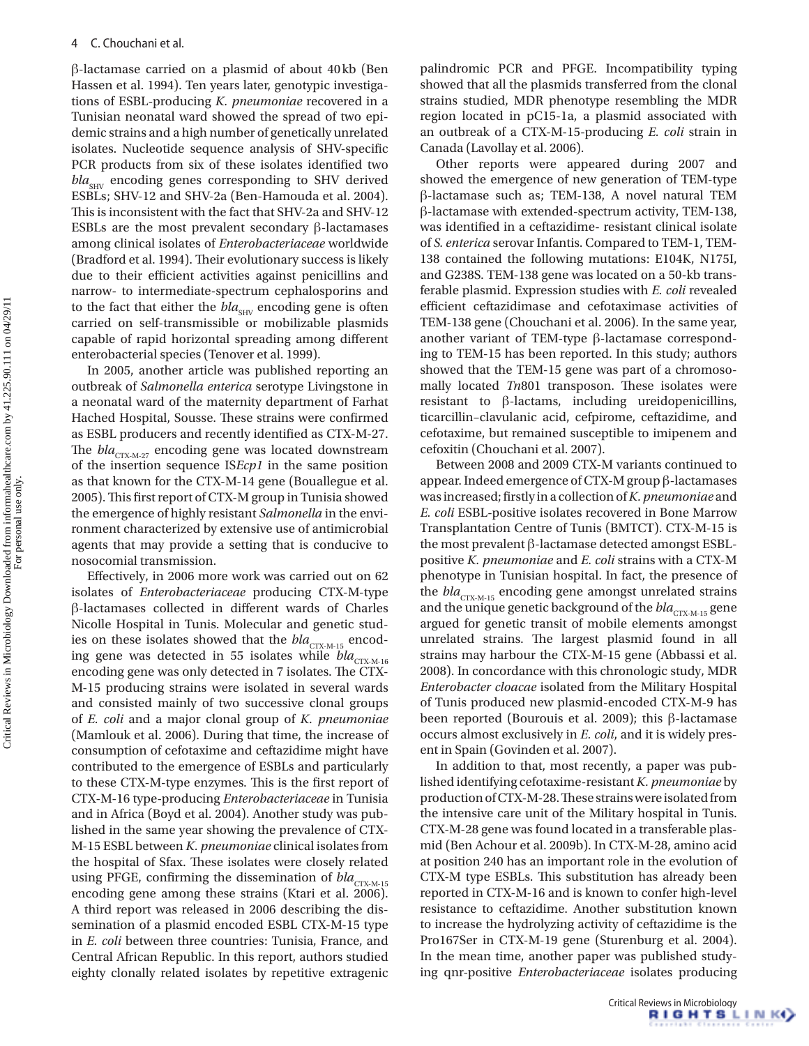#### 4 C. Chouchani et al.

β-lactamase carried on a plasmid of about 40kb [\(Ben](#page-8-2)  [Hassen et](#page-8-2) al. 1994). Ten years later, genotypic investigations of ESBL-producing *K. pneumoniae* recovered in a Tunisian neonatal ward showed the spread of two epidemic strains and a high number of genetically unrelated isolates. Nucleotide sequence analysis of SHV-specific PCR products from six of these isolates identified two *bla*<sub>SHV</sub> encoding genes corresponding to SHV derived ESBLs; SHV-12 and SHV-2a [\(Ben-Hamouda et](#page-8-3) al. 2004). This is inconsistent with the fact that SHV-2a and SHV-12 ESBLs are the most prevalent secondary β-lactamases among clinical isolates of *Enterobacteriaceae* worldwide ([Bradford et](#page-8-4) al. 1994). Their evolutionary success is likely due to their efficient activities against penicillins and narrow- to intermediate-spectrum cephalosporins and to the fact that either the  $\mathit{bla}_{\textrm{\tiny SHV}}$  encoding gene is often carried on self-transmissible or mobilizable plasmids capable of rapid horizontal spreading among different enterobacterial species ([Tenover et](#page-10-1) al. 1999).

In 2005, another article was published reporting an outbreak of *Salmonella enterica* serotype Livingstone in a neonatal ward of the maternity department of Farhat Hached Hospital, Sousse. These strains were confirmed as ESBL producers and recently identified as CTX-M-27. The  $bla_{\text{CTX-M-27}}$  encoding gene was located downstream of the insertion sequence IS*Ecp1* in the same position as that known for the CTX-M-14 gene [\(Bouallegue et](#page-8-5) al. [2005](#page-8-5)). This first report of CTX-M group in Tunisia showed the emergence of highly resistant *Salmonella* in the environment characterized by extensive use of antimicrobial agents that may provide a setting that is conducive to nosocomial transmission.

Effectively, in 2006 more work was carried out on 62 isolates of *Enterobacteriaceae* producing CTX-M-type β-lactamases collected in different wards of Charles Nicolle Hospital in Tunis. Molecular and genetic studies on these isolates showed that the  $bla_{\text{CTX-M-15}}$  encoding gene was detected in 55 isolates while  $\overline{b}la_{\text{CTX-M-16}}$ encoding gene was only detected in 7 isolates. The CTX-M-15 producing strains were isolated in several wards and consisted mainly of two successive clonal groups of *E. coli* and a major clonal group of *K. pneumoniae* ([Mamlouk et](#page-10-2) al. 2006). During that time, the increase of consumption of cefotaxime and ceftazidime might have contributed to the emergence of ESBLs and particularly to these CTX-M-type enzymes. This is the first report of CTX-M-16 type-producing *Enterobacteriaceae* in Tunisia and in Africa (Boyd et [al. 2004\)](#page-8-6). Another study was published in the same year showing the prevalence of CTX-M-15 ESBL between *K. pneumoniae* clinical isolates from the hospital of Sfax. These isolates were closely related using PFGE, confirming the dissemination of  $bla_{\text{CTX-M-15}}$ encoding gene among these strains (Ktari et [al. 2006\)](#page-9-10). A third report was released in 2006 describing the dissemination of a plasmid encoded ESBL CTX-M-15 type in *E. coli* between three countries: Tunisia, France, and Central African Republic. In this report, authors studied eighty clonally related isolates by repetitive extragenic palindromic PCR and PFGE. Incompatibility typing showed that all the plasmids transferred from the clonal strains studied, MDR phenotype resembling the MDR region located in pC15-1a, a plasmid associated with an outbreak of a CTX-M-15-producing *E. coli* strain in Canada [\(Lavollay et](#page-9-11) al. 2006).

Other reports were appeared during 2007 and showed the emergence of new generation of TEM-type β-lactamase such as; TEM-138, A novel natural TEM β-lactamase with extended-spectrum activity, TEM-138, was identified in a ceftazidime- resistant clinical isolate of *S. enterica* serovar Infantis. Compared to TEM-1, TEM-138 contained the following mutations: E104K, N175I, and G238S. TEM-138 gene was located on a 50-kb transferable plasmid. Expression studies with *E. coli* revealed efficient ceftazidimase and cefotaximase activities of TEM-138 gene [\(Chouchani et](#page-9-12) al. 2006). In the same year, another variant of TEM-type β-lactamase corresponding to TEM-15 has been reported. In this study; authors showed that the TEM-15 gene was part of a chromosomally located *Tn*801 transposon. These isolates were resistant to β-lactams, including ureidopenicillins, ticarcillin–clavulanic acid, cefpirome, ceftazidime, and cefotaxime, but remained susceptible to imipenem and cefoxitin [\(Chouchani et](#page-9-13) al. 2007).

Between 2008 and 2009 CTX-M variants continued to appear. Indeed emergence of CTX-M group β-lactamases was increased; firstly in a collection of *K. pneumoniae* and *E. coli* ESBL-positive isolates recovered in Bone Marrow Transplantation Centre of Tunis (BMTCT). CTX-M-15 is the most prevalent β-lactamase detected amongst ESBLpositive *K. pneumoniae* and *E. coli* strains with a CTX-M phenotype in Tunisian hospital. In fact, the presence of the *bla*<sub>CTX-M-15</sub> encoding gene amongst unrelated strains and the unique genetic background of the  $bla_{\text{CTX-M-15}}$  gene argued for genetic transit of mobile elements amongst unrelated strains. The largest plasmid found in all strains may harbour the CTX-M-15 gene [\(Abbassi et](#page-8-7) al. [2008\)](#page-8-7). In concordance with this chronologic study, MDR *Enterobacter cloacae* isolated from the Military Hospital of Tunis produced new plasmid-encoded CTX-M-9 has been reported ([Bourouis et](#page-8-8) al. 2009); this β-lactamase occurs almost exclusively in *E. coli*, and it is widely present in Spain [\(Govinden et](#page-9-14) al. 2007).

In addition to that, most recently, a paper was published identifying cefotaxime-resistant *K. pneumoniae* by production of CTX-M-28. These strains were isolated from the intensive care unit of the Military hospital in Tunis. CTX-M-28 gene was found located in a transferable plasmid ([Ben Achour et](#page-8-9) al. 2009b). In CTX-M-28, amino acid at position 240 has an important role in the evolution of CTX-M type ESBLs. This substitution has already been reported in CTX-M-16 and is known to confer high-level resistance to ceftazidime. Another substitution known to increase the hydrolyzing activity of ceftazidime is the Pro167Ser in CTX-M-19 gene [\(Sturenburg et](#page-10-3) al. 2004). In the mean time, another paper was published studying qnr-positive *Enterobacteriaceae* isolates producing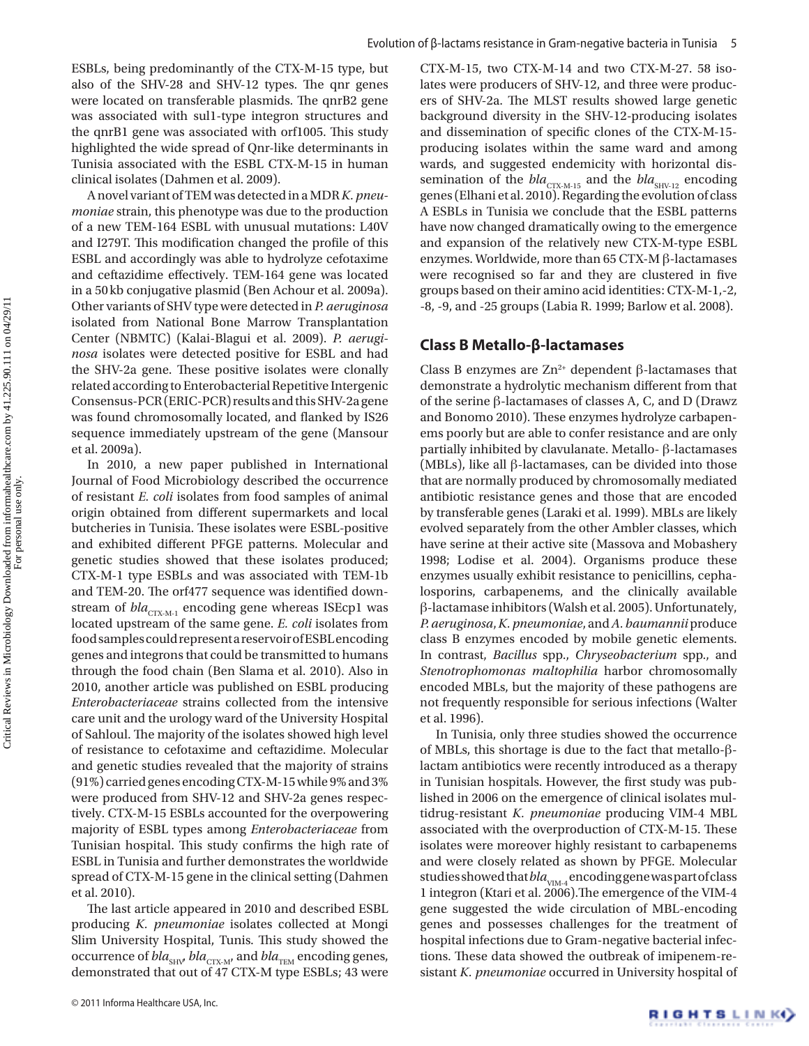ESBLs, being predominantly of the CTX-M-15 type, but also of the SHV-28 and SHV-12 types. The qnr genes were located on transferable plasmids. The qnrB2 gene was associated with sul1-type integron structures and the qnrB1 gene was associated with orf1005. This study highlighted the wide spread of Qnr-like determinants in Tunisia associated with the ESBL CTX-M-15 in human clinical isolates ([Dahmen et](#page-9-15) al. 2009).

A novel variant of TEM was detected in a MDR *K. pneumoniae* strain, this phenotype was due to the production of a new TEM-164 ESBL with unusual mutations: L40V and I279T. This modification changed the profile of this ESBL and accordingly was able to hydrolyze cefotaxime and ceftazidime effectively. TEM-164 gene was located in a 50 kb conjugative plasmid ([Ben Achour et](#page-8-10) al. 2009a). Other variants of SHV type were detected in *P. aeruginosa* isolated from National Bone Marrow Transplantation Center (NBMTC) (Kalai-Blagui et al. 2009). *P. aeruginosa* isolates were detected positive for ESBL and had the SHV-2a gene. These positive isolates were clonally related according to Enterobacterial Repetitive Intergenic Consensus-PCR (ERIC-PCR) results and this SHV-2a gene was found chromosomally located, and flanked by IS26 sequence immediately upstream of the gene ([Mansour](#page-10-4) et [al. 2009a](#page-10-4)).

In 2010, a new paper published in International Journal of Food Microbiology described the occurrence of resistant *E. coli* isolates from food samples of animal origin obtained from different supermarkets and local butcheries in Tunisia. These isolates were ESBL-positive and exhibited different PFGE patterns. Molecular and genetic studies showed that these isolates produced; CTX-M-1 type ESBLs and was associated with TEM-1b and TEM-20. The orf477 sequence was identified downstream of  $bla_{\text{CTX-M-1}}$  encoding gene whereas ISEcp1 was located upstream of the same gene. *E. coli* isolates from food samples could represent a reservoir of ESBL encoding genes and integrons that could be transmitted to humans through the food chain [\(Ben Slama et](#page-8-11) al. 2010). Also in 2010, another article was published on ESBL producing *Enterobacteriaceae* strains collected from the intensive care unit and the urology ward of the University Hospital of Sahloul. The majority of the isolates showed high level of resistance to cefotaxime and ceftazidime. Molecular and genetic studies revealed that the majority of strains (91%) carried genes encoding CTX-M-15 while 9% and 3% were produced from SHV-12 and SHV-2a genes respectively. CTX-M-15 ESBLs accounted for the overpowering majority of ESBL types among *Enterobacteriaceae* from Tunisian hospital. This study confirms the high rate of ESBL in Tunisia and further demonstrates the worldwide spread of CTX-M-15 gene in the clinical setting [\(Dahmen](#page-9-16) et [al. 2010](#page-9-16)).

The last article appeared in 2010 and described ESBL producing *K. pneumoniae* isolates collected at Mongi Slim University Hospital, Tunis. This study showed the occurrence of  $bla_{\text{SHV}}$ ,  $bla_{\text{CTX-M}}$ , and  $bla_{\text{TEM}}$  encoding genes, demonstrated that out of 47 CTX-M type ESBLs; 43 were

© 2011 Informa Healthcare USA, Inc.

CTX-M-15, two CTX-M-14 and two CTX-M-27. 58 isolates were producers of SHV-12, and three were producers of SHV-2a. The MLST results showed large genetic background diversity in the SHV-12-producing isolates and dissemination of specific clones of the CTX-M-15 producing isolates within the same ward and among wards, and suggested endemicity with horizontal dissemination of the  $bla_{\text{CTX-M-15}}$  and the  $bla_{\text{SHV-12}}$  encoding genes ([Elhani et](#page-9-17) al. 2010). Regarding the evolution of class A ESBLs in Tunisia we conclude that the ESBL patterns have now changed dramatically owing to the emergence and expansion of the relatively new CTX-M-type ESBL enzymes. Worldwide, more than 65 CTX-M β-lactamases were recognised so far and they are clustered in five groups based on their amino acid identities: CTX-M-1,-2, -8, -9, and -25 groups (Labia R. 1999; [Barlow et](#page-8-12) al. 2008).

## **Class B Metallo-β-lactamases**

Class B enzymes are  $Zn^{2+}$  dependent β-lactamases that demonstrate a hydrolytic mechanism different from that of the serine β-lactamases of classes A, C, and D [\(Drawz](#page-9-18) [and Bonomo 2010\)](#page-9-18). These enzymes hydrolyze carbapenems poorly but are able to confer resistance and are only partially inhibited by clavulanate. Metallo- β-lactamases (MBLs), like all β-lactamases, can be divided into those that are normally produced by chromosomally mediated antibiotic resistance genes and those that are encoded by transferable genes ([Laraki et](#page-9-19) al. 1999). MBLs are likely evolved separately from the other Ambler classes, which have serine at their active site [\(Massova and Mobashery](#page-10-5)  [1998](#page-10-5); [Lodise et](#page-9-20) al. 2004). Organisms produce these enzymes usually exhibit resistance to penicillins, cephalosporins, carbapenems, and the clinically available β-lactamase inhibitors ([Walsh et](#page-10-6) al. 2005). Unfortunately, *P. aeruginosa*, *K. pneumoniae*, and *A. baumannii* produce class B enzymes encoded by mobile genetic elements. In contrast, *Bacillus* spp., *Chryseobacterium* spp., and *Stenotrophomonas maltophilia* harbor chromosomally encoded MBLs, but the majority of these pathogens are not frequently responsible for serious infections [\(Walter](#page-10-7) et [al. 1996](#page-10-7)).

In Tunisia, only three studies showed the occurrence of MBLs, this shortage is due to the fact that metallo-βlactam antibiotics were recently introduced as a therapy in Tunisian hospitals. However, the first study was published in 2006 on the emergence of clinical isolates multidrug-resistant *K. pneumoniae* producing VIM-4 MBL associated with the overproduction of CTX-M-15. These isolates were moreover highly resistant to carbapenems and were closely related as shown by PFGE. Molecular studies showed that  $bla_{VIM-4}$  encoding gene was part of class 1 integron (Ktari et [al. 2006\)](#page-9-10).The emergence of the VIM-4 gene suggested the wide circulation of MBL-encoding genes and possesses challenges for the treatment of hospital infections due to Gram-negative bacterial infections. These data showed the outbreak of imipenem-resistant *K. pneumoniae* occurred in University hospital of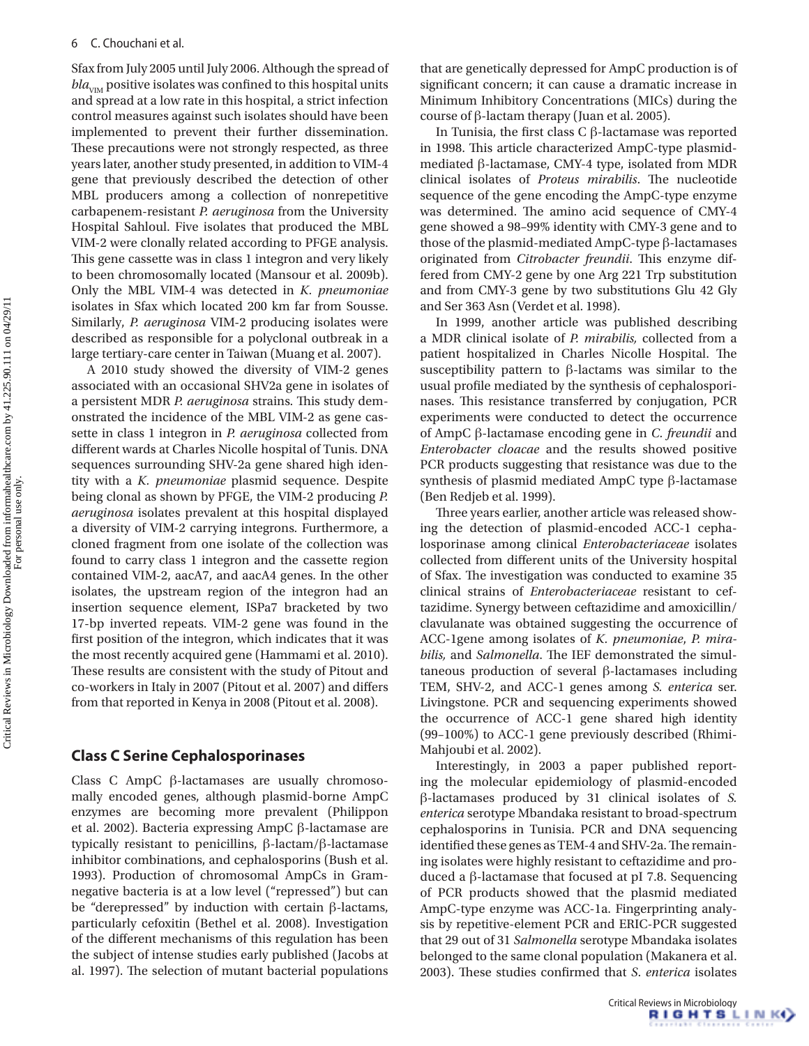#### 6 C. Chouchani et al.

Sfax from July 2005 until July 2006. Although the spread of  $bla_{VIM}$  positive isolates was confined to this hospital units and spread at a low rate in this hospital, a strict infection control measures against such isolates should have been implemented to prevent their further dissemination. These precautions were not strongly respected, as three years later, another study presented, in addition to VIM-4 gene that previously described the detection of other MBL producers among a collection of nonrepetitive carbapenem-resistant *P. aeruginosa* from the University Hospital Sahloul. Five isolates that produced the MBL VIM-2 were clonally related according to PFGE analysis. This gene cassette was in class 1 integron and very likely to been chromosomally located [\(Mansour et](#page-10-8) al. 2009b). Only the MBL VIM-4 was detected in *K. pneumoniae* isolates in Sfax which located 200 km far from Sousse. Similarly, *P. aeruginosa* VIM-2 producing isolates were described as responsible for a polyclonal outbreak in a large tertiary-care center in Taiwan [\(Muang et](#page-10-9) al. 2007).

A 2010 study showed the diversity of VIM-2 genes associated with an occasional SHV2a gene in isolates of a persistent MDR *P. aeruginosa* strains. This study demonstrated the incidence of the MBL VIM-2 as gene cassette in class 1 integron in *P. aeruginosa* collected from different wards at Charles Nicolle hospital of Tunis. DNA sequences surrounding SHV-2a gene shared high identity with a *K. pneumoniae* plasmid sequence. Despite being clonal as shown by PFGE, the VIM-2 producing *P. aeruginosa* isolates prevalent at this hospital displayed a diversity of VIM-2 carrying integrons. Furthermore, a cloned fragment from one isolate of the collection was found to carry class 1 integron and the cassette region contained VIM-2, aacA7, and aacA4 genes. In the other isolates, the upstream region of the integron had an insertion sequence element, ISPa7 bracketed by two 17-bp inverted repeats. VIM-2 gene was found in the first position of the integron, which indicates that it was the most recently acquired gene ([Hammami et](#page-9-21) al. 2010). These results are consistent with the study of Pitout and co-workers in Italy in 2007 ([Pitout et](#page-10-10) al. 2007) and differs from that reported in Kenya in 2008 [\(Pitout et](#page-10-11) al. 2008).

#### **Class C Serine Cephalosporinases**

Class C AmpC β-lactamases are usually chromosomally encoded genes, although plasmid-borne AmpC enzymes are becoming more prevalent ([Philippon](#page-10-12)  et [al. 2002\)](#page-10-12). Bacteria expressing AmpC β-lactamase are typically resistant to penicillins, β-lactam/β-lactamase inhibitor combinations, and cephalosporins ([Bush et](#page-9-22) al. [1993\)](#page-9-22). Production of chromosomal AmpCs in Gramnegative bacteria is at a low level ("repressed") but can be "derepressed" by induction with certain β-lactams, particularly cefoxitin ([Bethel et](#page-8-13) al. 2008). Investigation of the different mechanisms of this regulation has been the subject of intense studies early published (Jacobs at al. 1997). The selection of mutant bacterial populations

that are genetically depressed for AmpC production is of significant concern; it can cause a dramatic increase in Minimum Inhibitory Concentrations (MICs) during the course of β-lactam therapy (Juan et [al. 2005\)](#page-9-23).

In Tunisia, the first class C β-lactamase was reported in 1998. This article characterized AmpC-type plasmidmediated β-lactamase, CMY-4 type, isolated from MDR clinical isolates of *Proteus mirabilis*. The nucleotide sequence of the gene encoding the AmpC-type enzyme was determined. The amino acid sequence of CMY-4 gene showed a 98–99% identity with CMY-3 gene and to those of the plasmid-mediated AmpC-type β-lactamases originated from *Citrobacter freundii*. This enzyme differed from CMY-2 gene by one Arg 221 Trp substitution and from CMY-3 gene by two substitutions Glu 42 Gly and Ser 363 Asn ([Verdet et](#page-10-13) al. 1998).

In 1999, another article was published describing a MDR clinical isolate of *P. mirabilis,* collected from a patient hospitalized in Charles Nicolle Hospital. The susceptibility pattern to β-lactams was similar to the usual profile mediated by the synthesis of cephalosporinases. This resistance transferred by conjugation, PCR experiments were conducted to detect the occurrence of AmpC β-lactamase encoding gene in *C. freundii* and *Enterobacter cloacae* and the results showed positive PCR products suggesting that resistance was due to the synthesis of plasmid mediated AmpC type β-lactamase ([Ben Redjeb et](#page-8-14) al. 1999).

Three years earlier, another article was released showing the detection of plasmid-encoded ACC-1 cephalosporinase among clinical *Enterobacteriaceae* isolates collected from different units of the University hospital of Sfax. The investigation was conducted to examine 35 clinical strains of *Enterobacteriaceae* resistant to ceftazidime. Synergy between ceftazidime and amoxicillin/ clavulanate was obtained suggesting the occurrence of ACC-1gene among isolates of *K. pneumoniae*, *P. mirabilis,* and *Salmonella*. The IEF demonstrated the simultaneous production of several β-lactamases including TEM, SHV-2, and ACC-1 genes among *S. enterica* ser. Livingstone. PCR and sequencing experiments showed the occurrence of ACC-1 gene shared high identity (99–100%) to ACC-1 gene previously described [\(Rhimi-](#page-10-14)[Mahjoubi et](#page-10-14) al. 2002).

Interestingly, in 2003 a paper published reporting the molecular epidemiology of plasmid-encoded β-lactamases produced by 31 clinical isolates of *S. enterica* serotype Mbandaka resistant to broad-spectrum cephalosporins in Tunisia. PCR and DNA sequencing identified these genes as TEM-4 and SHV-2a. The remaining isolates were highly resistant to ceftazidime and produced a β-lactamase that focused at pI 7.8. Sequencing of PCR products showed that the plasmid mediated AmpC-type enzyme was ACC-1a. Fingerprinting analysis by repetitive-element PCR and ERIC-PCR suggested that 29 out of 31 *Salmonella* serotype Mbandaka isolates belonged to the same clonal population ([Makanera et](#page-9-24) al. [2003\)](#page-9-24). These studies confirmed that *S*. *enterica* isolates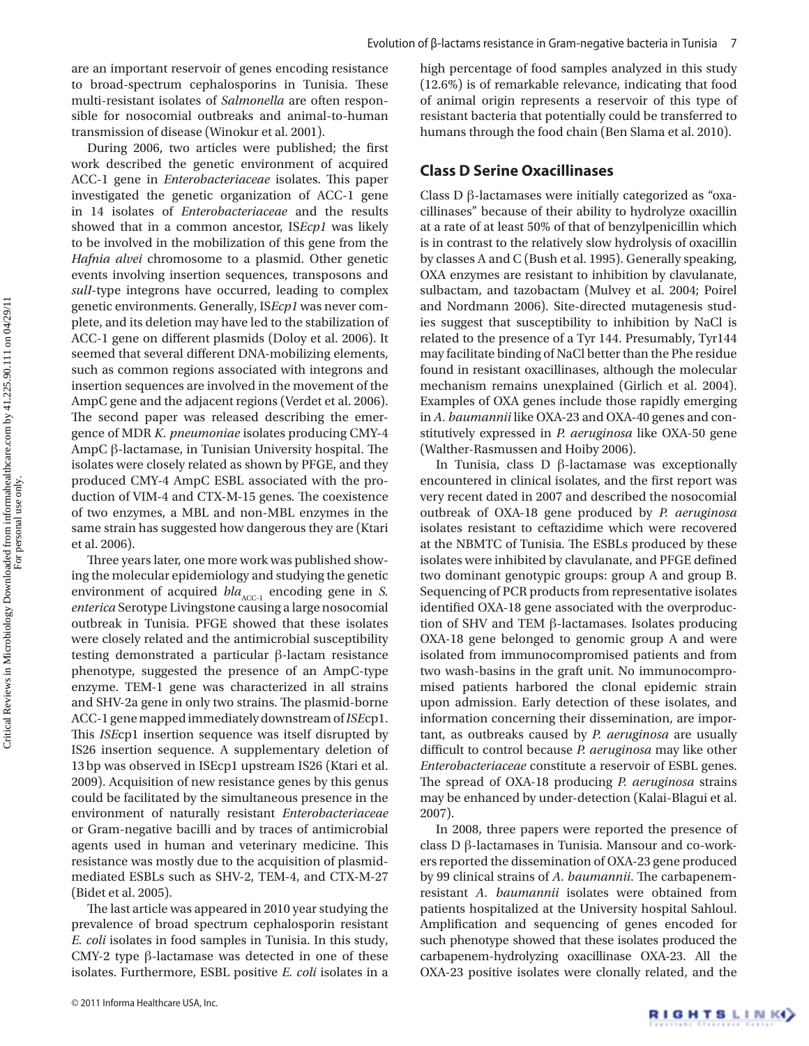are an important reservoir of genes encoding resistance to broad-spectrum cephalosporins in Tunisia. These multi-resistant isolates of *Salmonella* are often responsible for nosocomial outbreaks and animal-to-human transmission of disease ([Winokur et](#page-10-15) al. 2001).

During 2006, two articles were published; the first work described the genetic environment of acquired ACC-1 gene in *Enterobacteriaceae* isolates. This paper investigated the genetic organization of ACC-1 gene in 14 isolates of *Enterobacteriaceae* and the results showed that in a common ancestor, IS*Ecp1* was likely to be involved in the mobilization of this gene from the *Hafnia alvei* chromosome to a plasmid. Other genetic events involving insertion sequences, transposons and *sulI*-type integrons have occurred, leading to complex genetic environments. Generally, IS*Ecp1* was never complete, and its deletion may have led to the stabilization of ACC-1 gene on different plasmids ([Doloy et](#page-9-25) al. 2006). It seemed that several different DNA-mobilizing elements, such as common regions associated with integrons and insertion sequences are involved in the movement of the AmpC gene and the adjacent regions ([Verdet et](#page-10-16) al. 2006). The second paper was released describing the emergence of MDR *K. pneumoniae* isolates producing CMY-4 AmpC β-lactamase, in Tunisian University hospital. The isolates were closely related as shown by PFGE, and they produced CMY-4 AmpC ESBL associated with the production of VIM-4 and CTX-M-15 genes. The coexistence of two enzymes, a MBL and non-MBL enzymes in the same strain has suggested how dangerous they are [\(Ktari](#page-9-10)  et [al. 2006](#page-9-10)).

Three years later, one more work was published showing the molecular epidemiology and studying the genetic environment of acquired  $bla_{\text{ACC-1}}$  encoding gene in *S*. *enterica* Serotype Livingstone causing a large nosocomial outbreak in Tunisia. PFGE showed that these isolates were closely related and the antimicrobial susceptibility testing demonstrated a particular β-lactam resistance phenotype, suggested the presence of an AmpC-type enzyme. TEM-1 gene was characterized in all strains and SHV-2a gene in only two strains. The plasmid-borne ACC-1 gene mapped immediately downstream of *ISE*cp1. This *ISE*cp1 insertion sequence was itself disrupted by IS26 insertion sequence. A supplementary deletion of 13bp was observed in ISEcp1 upstream IS26 [\(Ktari et](#page-9-26) al. [2009](#page-9-26)). Acquisition of new resistance genes by this genus could be facilitated by the simultaneous presence in the environment of naturally resistant *Enterobacteriaceae* or Gram-negative bacilli and by traces of antimicrobial agents used in human and veterinary medicine. This resistance was mostly due to the acquisition of plasmidmediated ESBLs such as SHV-2, TEM-4, and CTX-M-27 ([Bidet et](#page-8-15) al. 2005).

The last article was appeared in 2010 year studying the prevalence of broad spectrum cephalosporin resistant *E. coli* isolates in food samples in Tunisia. In this study, CMY-2 type β-lactamase was detected in one of these isolates. Furthermore, ESBL positive *E. coli* isolates in a high percentage of food samples analyzed in this study (12.6%) is of remarkable relevance, indicating that food of animal origin represents a reservoir of this type of resistant bacteria that potentially could be transferred to humans through the food chain [\(Ben Slama et](#page-8-11) al. 2010).

## **Class D Serine Oxacillinases**

Class D β-lactamases were initially categorized as "oxacillinases" because of their ability to hydrolyze oxacillin at a rate of at least 50% of that of benzylpenicillin which is in contrast to the relatively slow hydrolysis of oxacillin by classes A and C (Bush et [al. 1995](#page-8-0)). Generally speaking, OXA enzymes are resistant to inhibition by clavulanate, sulbactam, and tazobactam [\(Mulvey et](#page-10-17) al. 2004; [Poirel](#page-10-18) [and Nordmann 2006](#page-10-18)). Site-directed mutagenesis studies suggest that susceptibility to inhibition by NaCl is related to the presence of a Tyr 144. Presumably, Tyr144 may facilitate binding of NaCl better than the Phe residue found in resistant oxacillinases, although the molecular mechanism remains unexplained [\(Girlich et](#page-9-27) al. 2004). Examples of OXA genes include those rapidly emerging in *A. baumannii* like OXA-23 and OXA-40 genes and constitutively expressed in *P. aeruginosa* like OXA-50 gene ([Walther-Rasmussen and Hoiby 2006\)](#page-10-19).

In Tunisia, class D β-lactamase was exceptionally encountered in clinical isolates, and the first report was very recent dated in 2007 and described the nosocomial outbreak of OXA-18 gene produced by *P. aeruginosa* isolates resistant to ceftazidime which were recovered at the NBMTC of Tunisia. The ESBLs produced by these isolates were inhibited by clavulanate, and PFGE defined two dominant genotypic groups: group A and group B. Sequencing of PCR products from representative isolates identified OXA-18 gene associated with the overproduction of SHV and TEM β-lactamases. Isolates producing OXA-18 gene belonged to genomic group A and were isolated from immunocompromised patients and from two wash-basins in the graft unit. No immunocompromised patients harbored the clonal epidemic strain upon admission. Early detection of these isolates, and information concerning their dissemination, are important, as outbreaks caused by *P. aeruginosa* are usually difficult to control because *P. aeruginosa* may like other *Enterobacteriaceae* constitute a reservoir of ESBL genes. The spread of OXA-18 producing *P. aeruginosa* strains may be enhanced by under-detection [\(Kalai-Blagui et](#page-9-28) al. [2007\)](#page-9-28).

In 2008, three papers were reported the presence of class D β-lactamases in Tunisia. Mansour and co-workers reported the dissemination of OXA-23 gene produced by 99 clinical strains of *A. baumannii*. The carbapenemresistant *A. baumannii* isolates were obtained from patients hospitalized at the University hospital Sahloul. Amplification and sequencing of genes encoded for such phenotype showed that these isolates produced the carbapenem-hydrolyzing oxacillinase OXA-23. All the OXA-23 positive isolates were clonally related, and the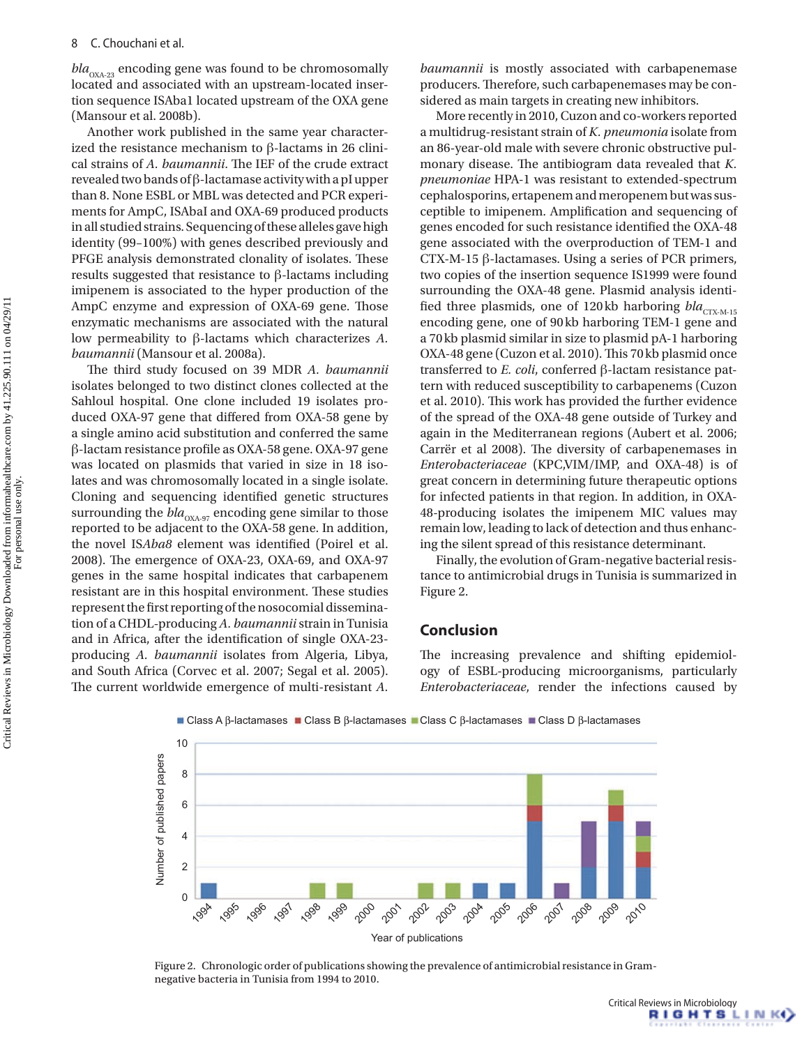$bla_{\text{OXA-23}}$  encoding gene was found to be chromosomally located and associated with an upstream-located insertion sequence ISAba1 located upstream of the OXA gene ([Mansour et](#page-10-20) al. 2008b).

Another work published in the same year characterized the resistance mechanism to β-lactams in 26 clinical strains of *A. baumannii*. The IEF of the crude extract revealed two bands of β-lactamase activity with a pI upper than 8. None ESBL or MBL was detected and PCR experiments for AmpC, ISAbaI and OXA-69 produced products in all studied strains. Sequencing of these alleles gave high identity (99–100%) with genes described previously and PFGE analysis demonstrated clonality of isolates. These results suggested that resistance to β-lactams including imipenem is associated to the hyper production of the AmpC enzyme and expression of OXA-69 gene. Those enzymatic mechanisms are associated with the natural low permeability to β-lactams which characterizes *A. baumannii* [\(Mansour et](#page-10-21) al. 2008a).

The third study focused on 39 MDR *A. baumannii* isolates belonged to two distinct clones collected at the Sahloul hospital. One clone included 19 isolates produced OXA-97 gene that differed from OXA-58 gene by a single amino acid substitution and conferred the same β-lactam resistance profile as OXA-58 gene. OXA-97 gene was located on plasmids that varied in size in 18 isolates and was chromosomally located in a single isolate. Cloning and sequencing identified genetic structures surrounding the  $bla_{\rm OXA-97}$  encoding gene similar to those reported to be adjacent to the OXA-58 gene. In addition, the novel IS*Aba8* element was identified ([Poirel et](#page-10-22) al. [2008](#page-10-22)). The emergence of OXA-23, OXA-69, and OXA-97 genes in the same hospital indicates that carbapenem resistant are in this hospital environment. These studies represent the first reporting of the nosocomial dissemination of a CHDL-producing *A. baumannii* strain in Tunisia and in Africa, after the identification of single OXA-23 producing *A. baumannii* isolates from Algeria, Libya, and South Africa [\(Corvec et](#page-9-29) al. 2007; [Segal et](#page-10-23) al. 2005). The current worldwide emergence of multi-resistant *A.* 

*baumannii* is mostly associated with carbapenemase producers. Therefore, such carbapenemases may be considered as main targets in creating new inhibitors.

More recently in 2010, Cuzon and co-workers reported a multidrug-resistant strain of *K. pneumonia* isolate from an 86-year-old male with severe chronic obstructive pulmonary disease. The antibiogram data revealed that *K. pneumoniae* HPA-1 was resistant to extended-spectrum cephalosporins, ertapenem and meropenem but was susceptible to imipenem. Amplification and sequencing of genes encoded for such resistance identified the OXA-48 gene associated with the overproduction of TEM-1 and CTX-M-15 β-lactamases. Using a series of PCR primers, two copies of the insertion sequence IS1999 were found surrounding the OXA-48 gene. Plasmid analysis identified three plasmids, one of 120kb harboring *bla*<sub>CTX-M-15</sub> encoding gene, one of 90 kb harboring TEM-1 gene and a 70 kb plasmid similar in size to plasmid pA-1 harboring OXA-48 gene ([Cuzon et](#page-9-30) al. 2010). This 70kb plasmid once transferred to *E. coli*, conferred β-lactam resistance pattern with reduced susceptibility to carbapenems [\(Cuzon](#page-9-30)  et [al. 2010](#page-9-30)). This work has provided the further evidence of the spread of the OXA-48 gene outside of Turkey and again in the Mediterranean regions ([Aubert et](#page-8-16) al. 2006; Carrër et al 2008). The diversity of carbapenemases in *Enterobacteriaceae* (KPC,VIM/IMP, and OXA-48) is of great concern in determining future therapeutic options for infected patients in that region. In addition, in OXA-48-producing isolates the imipenem MIC values may remain low, leading to lack of detection and thus enhancing the silent spread of this resistance determinant.

Finally, the evolution of Gram-negative bacterial resistance to antimicrobial drugs in Tunisia is summarized in [Figure 2](#page-7-0).

## **Conclusion**

The increasing prevalence and shifting epidemiology of ESBL-producing microorganisms, particularly *Enterobacteriaceae*, render the infections caused by



<span id="page-7-0"></span>Figure 2. Chronologic order of publications showing the prevalence of antimicrobial resistance in Gramnegative bacteria in Tunisia from 1994 to 2010.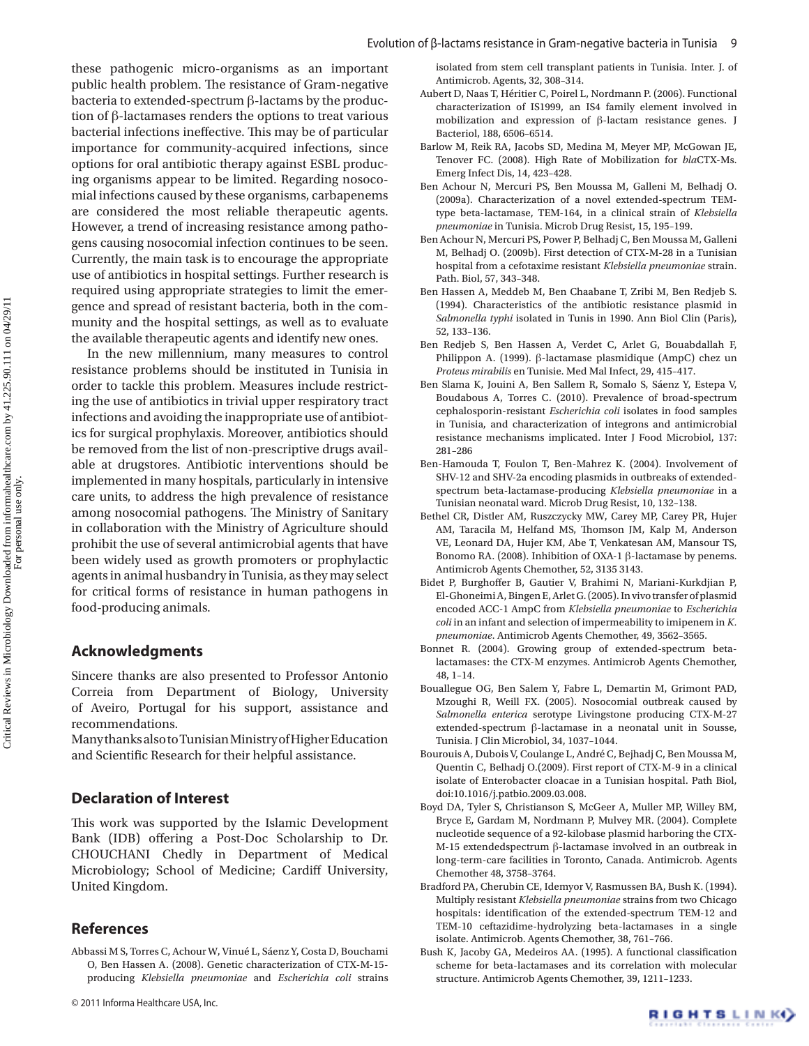these pathogenic micro-organisms as an important public health problem. The resistance of Gram-negative bacteria to extended-spectrum β-lactams by the production of β-lactamases renders the options to treat various bacterial infections ineffective. This may be of particular importance for community-acquired infections, since options for oral antibiotic therapy against ESBL producing organisms appear to be limited. Regarding nosocomial infections caused by these organisms, carbapenems are considered the most reliable therapeutic agents. However, a trend of increasing resistance among pathogens causing nosocomial infection continues to be seen. Currently, the main task is to encourage the appropriate use of antibiotics in hospital settings. Further research is required using appropriate strategies to limit the emergence and spread of resistant bacteria, both in the community and the hospital settings, as well as to evaluate the available therapeutic agents and identify new ones.

In the new millennium, many measures to control resistance problems should be instituted in Tunisia in order to tackle this problem. Measures include restricting the use of antibiotics in trivial upper respiratory tract infections and avoiding the inappropriate use of antibiotics for surgical prophylaxis. Moreover, antibiotics should be removed from the list of non-prescriptive drugs available at drugstores. Antibiotic interventions should be implemented in many hospitals, particularly in intensive care units, to address the high prevalence of resistance among nosocomial pathogens. The Ministry of Sanitary in collaboration with the Ministry of Agriculture should prohibit the use of several antimicrobial agents that have been widely used as growth promoters or prophylactic agents in animal husbandry in Tunisia, as they may select for critical forms of resistance in human pathogens in food-producing animals.

## **Acknowledgments**

Sincere thanks are also presented to Professor Antonio Correia from Department of Biology, University of Aveiro, Portugal for his support, assistance and recommendations.

Many thanks also to Tunisian Ministry of Higher Education and Scientific Research for their helpful assistance.

## **Declaration of Interest**

This work was supported by the Islamic Development Bank (IDB) offering a Post-Doc Scholarship to Dr. CHOUCHANI Chedly in Department of Medical Microbiology; School of Medicine; Cardiff University, United Kingdom.

## **References**

<span id="page-8-7"></span>Abbassi M S, Torres C, Achour W, Vinué L, Sáenz Y, Costa D, Bouchami O, Ben Hassen A. (2008). Genetic characterization of CTX-M-15 producing *Klebsiella pneumoniae* and *Escherichia coli* strains

isolated from stem cell transplant patients in Tunisia. Inter. J. of Antimicrob. Agents, 32, 308–314.

- <span id="page-8-16"></span>Aubert D, Naas T, Héritier C, Poirel L, Nordmann P. (2006). Functional characterization of IS1999, an IS4 family element involved in mobilization and expression of β-lactam resistance genes. J Bacteriol, 188, 6506–6514.
- <span id="page-8-12"></span>Barlow M, Reik RA, Jacobs SD, Medina M, Meyer MP, McGowan JE, Tenover FC. (2008). High Rate of Mobilization for *bla*CTX-Ms. Emerg Infect Dis, 14, 423–428.
- <span id="page-8-10"></span>Ben Achour N, Mercuri PS, Ben Moussa M, Galleni M, Belhadj O. (2009a). Characterization of a novel extended-spectrum TEMtype beta-lactamase, TEM-164, in a clinical strain of *Klebsiella pneumoniae* in Tunisia. Microb Drug Resist, 15, 195–199.
- <span id="page-8-9"></span>Ben Achour N, Mercuri PS, Power P, Belhadj C, Ben Moussa M, Galleni M, Belhadj O. (2009b). First detection of CTX-M-28 in a Tunisian hospital from a cefotaxime resistant *Klebsiella pneumoniae* strain. Path. Biol, 57, 343–348.
- <span id="page-8-2"></span>Ben Hassen A, Meddeb M, Ben Chaabane T, Zribi M, Ben Redjeb S. (1994). Characteristics of the antibiotic resistance plasmid in *Salmonella typhi* isolated in Tunis in 1990. Ann Biol Clin (Paris), 52, 133–136.
- <span id="page-8-14"></span>Ben Redjeb S, Ben Hassen A, Verdet C, Arlet G, Bouabdallah F, Philippon A. (1999). β-lactamase plasmidique (AmpC) chez un *Proteus mirabilis* en Tunisie. Med Mal Infect, 29, 415–417.
- <span id="page-8-11"></span>Ben Slama K, Jouini A, Ben Sallem R, Somalo S, Sáenz Y, Estepa V, Boudabous A, Torres C. (2010). Prevalence of broad-spectrum cephalosporin-resistant *Escherichia coli* isolates in food samples in Tunisia, and characterization of integrons and antimicrobial resistance mechanisms implicated. Inter J Food Microbiol, 137: 281–286
- <span id="page-8-3"></span>Ben-Hamouda T, Foulon T, Ben-Mahrez K. (2004). Involvement of SHV-12 and SHV-2a encoding plasmids in outbreaks of extendedspectrum beta-lactamase-producing *Klebsiella pneumoniae* in a Tunisian neonatal ward. Microb Drug Resist, 10, 132–138.
- <span id="page-8-13"></span>Bethel CR, Distler AM, Ruszczycky MW, Carey MP, Carey PR, Hujer AM, Taracila M, Helfand MS, Thomson JM, Kalp M, Anderson VE, Leonard DA, Hujer KM, Abe T, Venkatesan AM, Mansour TS, Bonomo RA. (2008). Inhibition of OXA-1 β-lactamase by penems. Antimicrob Agents Chemother, 52, 3135 3143.
- <span id="page-8-15"></span>Bidet P, Burghoffer B, Gautier V, Brahimi N, Mariani-Kurkdjian P, El-Ghoneimi A, Bingen E, Arlet G. (2005). In vivo transfer of plasmid encoded ACC-1 AmpC from *Klebsiella pneumoniae* to *Escherichia coli* in an infant and selection of impermeability to imipenem in *K. pneumoniae*. Antimicrob Agents Chemother, 49, 3562–3565.
- <span id="page-8-1"></span>Bonnet R. (2004). Growing group of extended-spectrum betalactamases: the CTX-M enzymes. Antimicrob Agents Chemother, 48, 1–14.
- <span id="page-8-5"></span>Bouallegue OG, Ben Salem Y, Fabre L, Demartin M, Grimont PAD, Mzoughi R, Weill FX. (2005). Nosocomial outbreak caused by *Salmonella enterica* serotype Livingstone producing CTX-M-27 extended-spectrum β-lactamase in a neonatal unit in Sousse, Tunisia. J Clin Microbiol, 34, 1037–1044.
- <span id="page-8-8"></span>Bourouis A, Dubois V, Coulange L, André C, Bejhadj C, Ben Moussa M, Quentin C, Belhadj O.(2009). First report of CTX-M-9 in a clinical isolate of Enterobacter cloacae in a Tunisian hospital. Path Biol, doi:10.1016/j.patbio.2009.03.008.
- <span id="page-8-6"></span>Boyd DA, Tyler S, Christianson S, McGeer A, Muller MP, Willey BM, Bryce E, Gardam M, Nordmann P, Mulvey MR. (2004). Complete nucleotide sequence of a 92-kilobase plasmid harboring the CTX-M-15 extendedspectrum β-lactamase involved in an outbreak in long-term-care facilities in Toronto, Canada. Antimicrob. Agents Chemother 48, 3758–3764.
- <span id="page-8-4"></span>Bradford PA, Cherubin CE, Idemyor V, Rasmussen BA, Bush K. (1994). Multiply resistant *Klebsiella pneumoniae* strains from two Chicago hospitals: identification of the extended-spectrum TEM-12 and TEM-10 ceftazidime-hydrolyzing beta-lactamases in a single isolate. Antimicrob. Agents Chemother, 38, 761–766.
- <span id="page-8-0"></span>Bush K, Jacoby GA, Medeiros AA. (1995). A functional classification scheme for beta-lactamases and its correlation with molecular structure. Antimicrob Agents Chemother, 39, 1211–1233.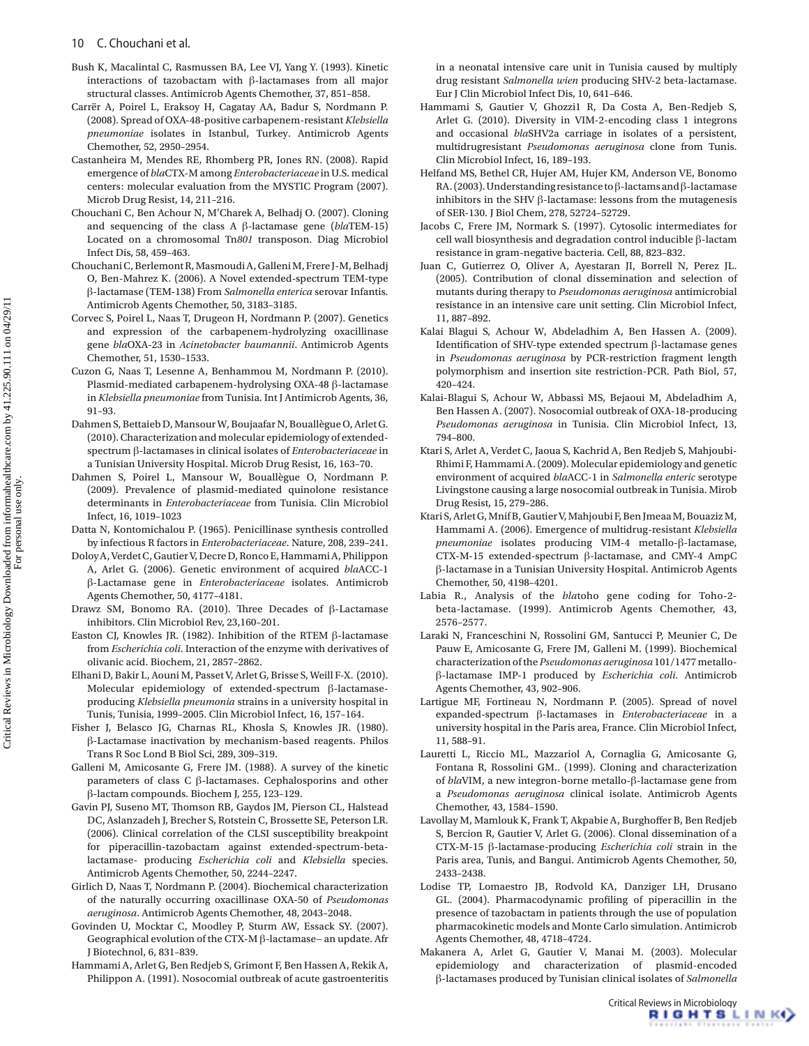- 10 C. Chouchani et al.
- <span id="page-9-22"></span>Bush K, Macalintal C, Rasmussen BA, Lee VJ, Yang Y. (1993). Kinetic interactions of tazobactam with β-lactamases from all major structural classes. Antimicrob Agents Chemother, 37, 851–858.
- Carrër A, Poirel L, Eraksoy H, Cagatay AA, Badur S, Nordmann P. (2008). Spread of OXA-48-positive carbapenem-resistant *Klebsiella pneumoniae* isolates in Istanbul, Turkey. Antimicrob Agents Chemother, 52, 2950–2954.
- <span id="page-9-8"></span>Castanheira M, Mendes RE, Rhomberg PR, Jones RN. (2008). Rapid emergence of *bla*CTX-M among *Enterobacteriaceae* in U.S. medical centers: molecular evaluation from the MYSTIC Program (2007). Microb Drug Resist, 14, 211–216.
- <span id="page-9-13"></span>Chouchani C, Ben Achour N, M'Charek A, Belhadj O. (2007). Cloning and sequencing of the class A β-lactamase gene (*bla*TEM-15) Located on a chromosomal Tn*801* transposon. Diag Microbiol Infect Dis, 58, 459–463.
- <span id="page-9-12"></span>Chouchani C, Berlemont R, Masmoudi A, Galleni M, Frere J-M, Belhadj O, Ben-Mahrez K. (2006). A Novel extended-spectrum TEM-type β-lactamase (TEM-138) From *Salmonella enterica* serovar Infantis. Antimicrob Agents Chemother, 50, 3183–3185.
- <span id="page-9-29"></span>Corvec S, Poirel L, Naas T, Drugeon H, Nordmann P. (2007). Genetics and expression of the carbapenem-hydrolyzing oxacillinase gene *bla*OXA-23 in *Acinetobacter baumannii*. Antimicrob Agents Chemother, 51, 1530–1533.
- <span id="page-9-30"></span>Cuzon G, Naas T, Lesenne A, Benhammou M, Nordmann P. (2010). Plasmid-mediated carbapenem-hydrolysing OXA-48 β-lactamase in *Klebsiella pneumoniae* from Tunisia. Int J Antimicrob Agents, 36, 91–93.
- <span id="page-9-16"></span>Dahmen S, Bettaieb D, Mansour W, Boujaafar N, Bouallègue O, Arlet G. (2010). Characterization and molecular epidemiology of extendedspectrum β-lactamases in clinical isolates of *Enterobacteriaceae* in a Tunisian University Hospital. Microb Drug Resist, 16, 163–70.
- <span id="page-9-15"></span>Dahmen S, Poirel L, Mansour W, Bouallègue O, Nordmann P. (2009). Prevalence of plasmid-mediated quinolone resistance determinants in *Enterobacteriaceae* from Tunisia. Clin Microbiol Infect, 16, 1019–1023
- <span id="page-9-7"></span>Datta N, Kontomichalou P. (1965). Penicillinase synthesis controlled by infectious R factors in *Enterobacteriaceae*. Nature, 208, 239–241.
- <span id="page-9-25"></span>Doloy A, Verdet C, Gautier V, Decre D, Ronco E, Hammami A, Philippon A, Arlet G. (2006). Genetic environment of acquired *bla*ACC-1 β-Lactamase gene in *Enterobacteriaceae* isolates. Antimicrob Agents Chemother, 50, 4177–4181.
- <span id="page-9-18"></span>Drawz SM, Bonomo RA. (2010). Three Decades of β-Lactamase inhibitors. Clin Microbiol Rev, 23,160–201.
- <span id="page-9-0"></span>Easton CJ, Knowles JR. (1982). Inhibition of the RTEM β-lactamase from *Escherichia coli*. Interaction of the enzyme with derivatives of olivanic acid. Biochem, 21, 2857–2862.
- <span id="page-9-17"></span>Elhani D, Bakir L, Aouni M, Passet V, Arlet G, Brisse S, Weill F-X. (2010). Molecular epidemiology of extended-spectrum β-lactamaseproducing *Klebsiella pneumonia* strains in a university hospital in Tunis, Tunisia, 1999–2005. Clin Microbiol Infect, 16, 157–164.
- <span id="page-9-1"></span>Fisher J, Belasco JG, Charnas RL, Khosla S, Knowles JR. (1980). β-Lactamase inactivation by mechanism-based reagents. Philos Trans R Soc Lond B Biol Sci, 289, 309–319.
- <span id="page-9-6"></span>Galleni M, Amicosante G, Frere JM. (1988). A survey of the kinetic parameters of class C β-lactamases. Cephalosporins and other β-lactam compounds. Biochem J, 255, 123–129.
- <span id="page-9-3"></span>Gavin PJ, Suseno MT, Thomson RB, Gaydos JM, Pierson CL, Halstead DC, Aslanzadeh J, Brecher S, Rotstein C, Brossette SE, Peterson LR. (2006). Clinical correlation of the CLSI susceptibility breakpoint for piperacillin-tazobactam against extended-spectrum-betalactamase- producing *Escherichia coli* and *Klebsiella* species. Antimicrob Agents Chemother, 50, 2244–2247.
- <span id="page-9-27"></span>Girlich D, Naas T, Nordmann P. (2004). Biochemical characterization of the naturally occurring oxacillinase OXA-50 of *Pseudomonas aeruginosa*. Antimicrob Agents Chemother, 48, 2043–2048.
- <span id="page-9-14"></span>Govinden U, Mocktar C, Moodley P, Sturm AW, Essack SY. (2007). Geographical evolution of the CTX-M β-lactamase− an update. Afr J Biotechnol, 6, 831–839.
- <span id="page-9-9"></span>Hammami A, Arlet G, Ben Redjeb S, Grimont F, Ben Hassen A, Rekik A, Philippon A. (1991). Nosocomial outbreak of acute gastroenteritis

in a neonatal intensive care unit in Tunisia caused by multiply drug resistant *Salmonella wien* producing SHV-2 beta-lactamase. Eur J Clin Microbiol Infect Dis, 10, 641–646.

- <span id="page-9-21"></span>Hammami S, Gautier V, Ghozzi1 R, Da Costa A, Ben-Redjeb S, Arlet G. (2010). Diversity in VIM-2-encoding class 1 integrons and occasional *bla*SHV2a carriage in isolates of a persistent, multidrugresistant *Pseudomonas aeruginosa* clone from Tunis. Clin Microbiol Infect, 16, 189–193.
- <span id="page-9-4"></span>Helfand MS, Bethel CR, Hujer AM, Hujer KM, Anderson VE, Bonomo RA. (2003). Understanding resistance to β-lactams and β-lactamase inhibitors in the SHV β-lactamase: lessons from the mutagenesis of SER-130. J Biol Chem, 278, 52724–52729.
- Jacobs C, Frere JM, Normark S. (1997). Cytosolic intermediates for cell wall biosynthesis and degradation control inducible β-lactam resistance in gram-negative bacteria. Cell, 88, 823–832.
- <span id="page-9-23"></span>Juan C, Gutierrez O, Oliver A, Ayestaran JI, Borrell N, Perez JL. (2005). Contribution of clonal dissemination and selection of mutants during therapy to *Pseudomonas aeruginosa* antimicrobial resistance in an intensive care unit setting. Clin Microbiol Infect, 11, 887–892.
- Kalai Blagui S, Achour W, Abdeladhim A, Ben Hassen A. (2009). Identification of SHV-type extended spectrum β-lactamase genes in *Pseudomonas aeruginosa* by PCR-restriction fragment length polymorphism and insertion site restriction-PCR. Path Biol, 57, 420–424.
- <span id="page-9-28"></span>Kalai-Blagui S, Achour W, Abbassi MS, Bejaoui M, Abdeladhim A, Ben Hassen A. (2007). Nosocomial outbreak of OXA-18-producing *Pseudomonas aeruginosa* in Tunisia. Clin Microbiol Infect, 13, 794–800.
- <span id="page-9-26"></span>Ktari S, Arlet A, Verdet C, Jaoua S, Kachrid A, Ben Redjeb S, Mahjoubi-Rhimi F, Hammami A. (2009). Molecular epidemiology and genetic environment of acquired *bla*ACC-1 in *Salmonella enteric* serotype Livingstone causing a large nosocomial outbreak in Tunisia. Mirob Drug Resist, 15, 279–286.
- <span id="page-9-10"></span>Ktari S, Arlet G, Mnif B, Gautier V, Mahjoubi F, Ben Jmeaa M, Bouaziz M, Hammami A. (2006). Emergence of multidrug-resistant *Klebsiella pneumoniae* isolates producing VIM-4 metallo-β-lactamase, CTX-M-15 extended-spectrum β-lactamase, and CMY-4 AmpC β-lactamase in a Tunisian University Hospital. Antimicrob Agents Chemother, 50, 4198–4201.
- Labia R., Analysis of the *bla*toho gene coding for Toho-2 beta-lactamase. (1999). Antimicrob Agents Chemother, 43, 2576–2577.
- <span id="page-9-19"></span>Laraki N, Franceschini N, Rossolini GM, Santucci P, Meunier C, De Pauw E, Amicosante G, Frere JM, Galleni M. (1999). Biochemical characterization of the *Pseudomonas aeruginosa* 101/1477 metalloβ-lactamase IMP-1 produced by *Escherichia coli*. Antimicrob Agents Chemother, 43, 902–906.
- <span id="page-9-5"></span>Lartigue MF, Fortineau N, Nordmann P. (2005). Spread of novel expanded-spectrum β-lactamases in *Enterobacteriaceae* in a university hospital in the Paris area, France. Clin Microbiol Infect, 11, 588–91.
- <span id="page-9-2"></span>Lauretti L, Riccio ML, Mazzariol A, Cornaglia G, Amicosante G, Fontana R, Rossolini GM.. (1999). Cloning and characterization of *bla*VIM, a new integron-borne metallo-β-lactamase gene from a *Pseudomonas aeruginosa* clinical isolate. Antimicrob Agents Chemother, 43, 1584–1590.
- <span id="page-9-11"></span>Lavollay M, Mamlouk K, Frank T, Akpabie A, Burghoffer B, Ben Redjeb S, Bercion R, Gautier V, Arlet G. (2006). Clonal dissemination of a CTX-M-15 β-lactamase-producing *Escherichia coli* strain in the Paris area, Tunis, and Bangui. Antimicrob Agents Chemother, 50, 2433–2438.
- <span id="page-9-20"></span>Lodise TP, Lomaestro JB, Rodvold KA, Danziger LH, Drusano GL. (2004). Pharmacodynamic profiling of piperacillin in the presence of tazobactam in patients through the use of population pharmacokinetic models and Monte Carlo simulation. Antimicrob Agents Chemother, 48, 4718–4724.
- <span id="page-9-24"></span>Makanera A, Arlet G, Gautier V, Manai M. (2003). Molecular epidemiology and characterization of plasmid-encoded β-lactamases produced by Tunisian clinical isolates of *Salmonella*